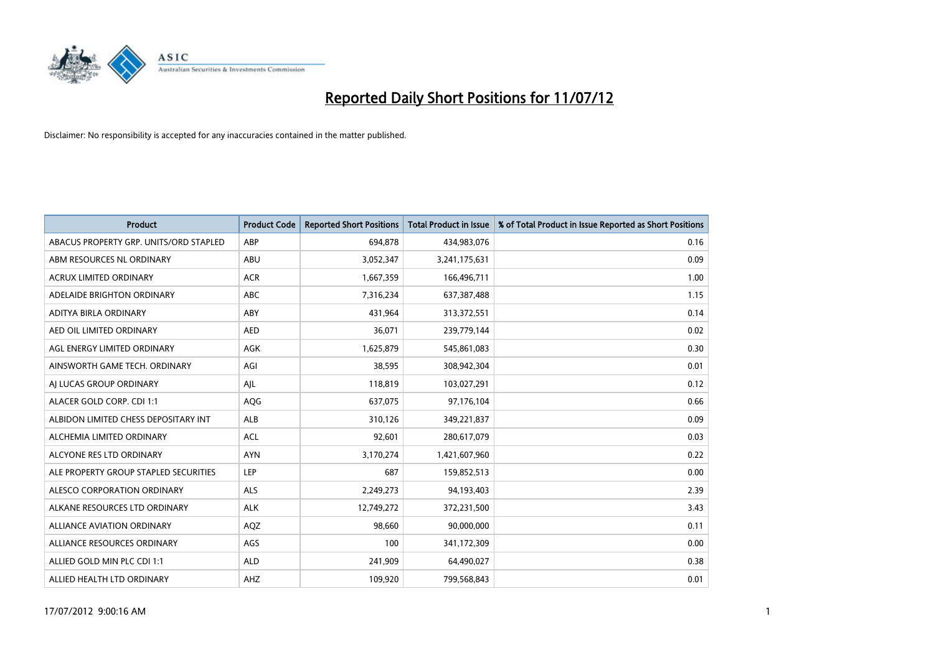

| <b>Product</b>                         | <b>Product Code</b> | <b>Reported Short Positions</b> | <b>Total Product in Issue</b> | % of Total Product in Issue Reported as Short Positions |
|----------------------------------------|---------------------|---------------------------------|-------------------------------|---------------------------------------------------------|
| ABACUS PROPERTY GRP. UNITS/ORD STAPLED | ABP                 | 694,878                         | 434,983,076                   | 0.16                                                    |
| ABM RESOURCES NL ORDINARY              | ABU                 | 3,052,347                       | 3,241,175,631                 | 0.09                                                    |
| <b>ACRUX LIMITED ORDINARY</b>          | <b>ACR</b>          | 1,667,359                       | 166,496,711                   | 1.00                                                    |
| ADELAIDE BRIGHTON ORDINARY             | <b>ABC</b>          | 7,316,234                       | 637,387,488                   | 1.15                                                    |
| ADITYA BIRLA ORDINARY                  | ABY                 | 431,964                         | 313,372,551                   | 0.14                                                    |
| AED OIL LIMITED ORDINARY               | <b>AED</b>          | 36,071                          | 239,779,144                   | 0.02                                                    |
| AGL ENERGY LIMITED ORDINARY            | <b>AGK</b>          | 1,625,879                       | 545,861,083                   | 0.30                                                    |
| AINSWORTH GAME TECH. ORDINARY          | AGI                 | 38,595                          | 308,942,304                   | 0.01                                                    |
| AI LUCAS GROUP ORDINARY                | AJL                 | 118,819                         | 103,027,291                   | 0.12                                                    |
| ALACER GOLD CORP. CDI 1:1              | AQG                 | 637,075                         | 97,176,104                    | 0.66                                                    |
| ALBIDON LIMITED CHESS DEPOSITARY INT   | ALB                 | 310,126                         | 349,221,837                   | 0.09                                                    |
| ALCHEMIA LIMITED ORDINARY              | <b>ACL</b>          | 92,601                          | 280,617,079                   | 0.03                                                    |
| ALCYONE RES LTD ORDINARY               | <b>AYN</b>          | 3,170,274                       | 1,421,607,960                 | 0.22                                                    |
| ALE PROPERTY GROUP STAPLED SECURITIES  | LEP                 | 687                             | 159,852,513                   | 0.00                                                    |
| ALESCO CORPORATION ORDINARY            | <b>ALS</b>          | 2,249,273                       | 94,193,403                    | 2.39                                                    |
| ALKANE RESOURCES LTD ORDINARY          | <b>ALK</b>          | 12,749,272                      | 372,231,500                   | 3.43                                                    |
| <b>ALLIANCE AVIATION ORDINARY</b>      | AQZ                 | 98,660                          | 90,000,000                    | 0.11                                                    |
| ALLIANCE RESOURCES ORDINARY            | AGS                 | 100                             | 341,172,309                   | 0.00                                                    |
| ALLIED GOLD MIN PLC CDI 1:1            | <b>ALD</b>          | 241,909                         | 64,490,027                    | 0.38                                                    |
| ALLIED HEALTH LTD ORDINARY             | AHZ                 | 109,920                         | 799,568,843                   | 0.01                                                    |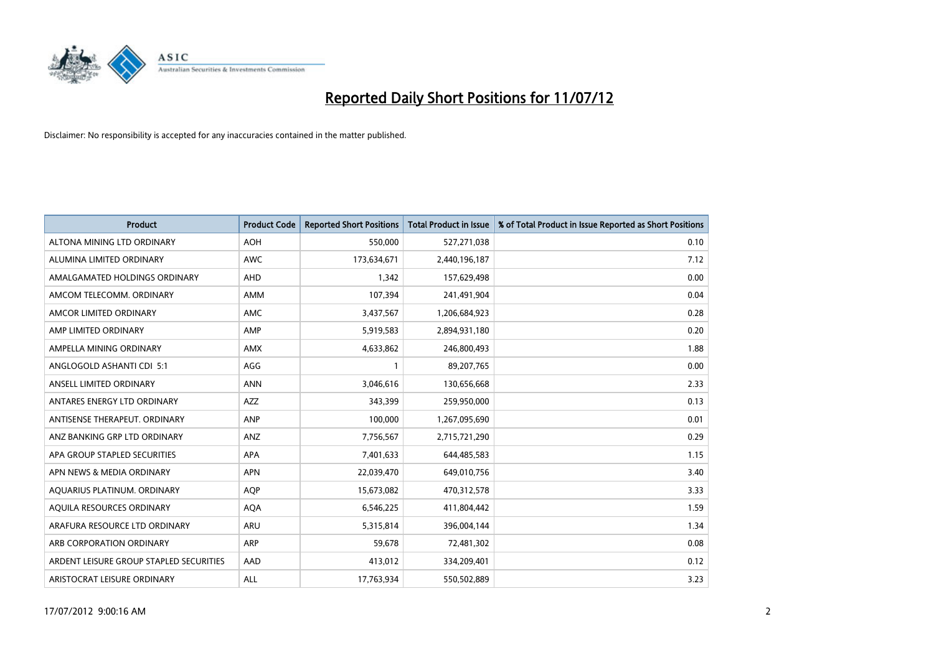

| <b>Product</b>                          | <b>Product Code</b> | <b>Reported Short Positions</b> | <b>Total Product in Issue</b> | % of Total Product in Issue Reported as Short Positions |
|-----------------------------------------|---------------------|---------------------------------|-------------------------------|---------------------------------------------------------|
| ALTONA MINING LTD ORDINARY              | <b>AOH</b>          | 550,000                         | 527,271,038                   | 0.10                                                    |
| ALUMINA LIMITED ORDINARY                | <b>AWC</b>          | 173,634,671                     | 2,440,196,187                 | 7.12                                                    |
| AMALGAMATED HOLDINGS ORDINARY           | <b>AHD</b>          | 1,342                           | 157,629,498                   | 0.00                                                    |
| AMCOM TELECOMM. ORDINARY                | AMM                 | 107,394                         | 241,491,904                   | 0.04                                                    |
| AMCOR LIMITED ORDINARY                  | AMC                 | 3,437,567                       | 1,206,684,923                 | 0.28                                                    |
| AMP LIMITED ORDINARY                    | AMP                 | 5,919,583                       | 2,894,931,180                 | 0.20                                                    |
| AMPELLA MINING ORDINARY                 | <b>AMX</b>          | 4,633,862                       | 246,800,493                   | 1.88                                                    |
| ANGLOGOLD ASHANTI CDI 5:1               | AGG                 |                                 | 89,207,765                    | 0.00                                                    |
| ANSELL LIMITED ORDINARY                 | <b>ANN</b>          | 3,046,616                       | 130,656,668                   | 2.33                                                    |
| ANTARES ENERGY LTD ORDINARY             | AZZ                 | 343,399                         | 259,950,000                   | 0.13                                                    |
| ANTISENSE THERAPEUT, ORDINARY           | <b>ANP</b>          | 100,000                         | 1,267,095,690                 | 0.01                                                    |
| ANZ BANKING GRP LTD ORDINARY            | ANZ                 | 7,756,567                       | 2,715,721,290                 | 0.29                                                    |
| APA GROUP STAPLED SECURITIES            | <b>APA</b>          | 7,401,633                       | 644,485,583                   | 1.15                                                    |
| APN NEWS & MEDIA ORDINARY               | <b>APN</b>          | 22,039,470                      | 649,010,756                   | 3.40                                                    |
| AQUARIUS PLATINUM. ORDINARY             | <b>AOP</b>          | 15,673,082                      | 470,312,578                   | 3.33                                                    |
| AQUILA RESOURCES ORDINARY               | <b>AQA</b>          | 6,546,225                       | 411,804,442                   | 1.59                                                    |
| ARAFURA RESOURCE LTD ORDINARY           | <b>ARU</b>          | 5,315,814                       | 396,004,144                   | 1.34                                                    |
| ARB CORPORATION ORDINARY                | ARP                 | 59,678                          | 72,481,302                    | 0.08                                                    |
| ARDENT LEISURE GROUP STAPLED SECURITIES | AAD                 | 413,012                         | 334,209,401                   | 0.12                                                    |
| ARISTOCRAT LEISURE ORDINARY             | <b>ALL</b>          | 17,763,934                      | 550,502,889                   | 3.23                                                    |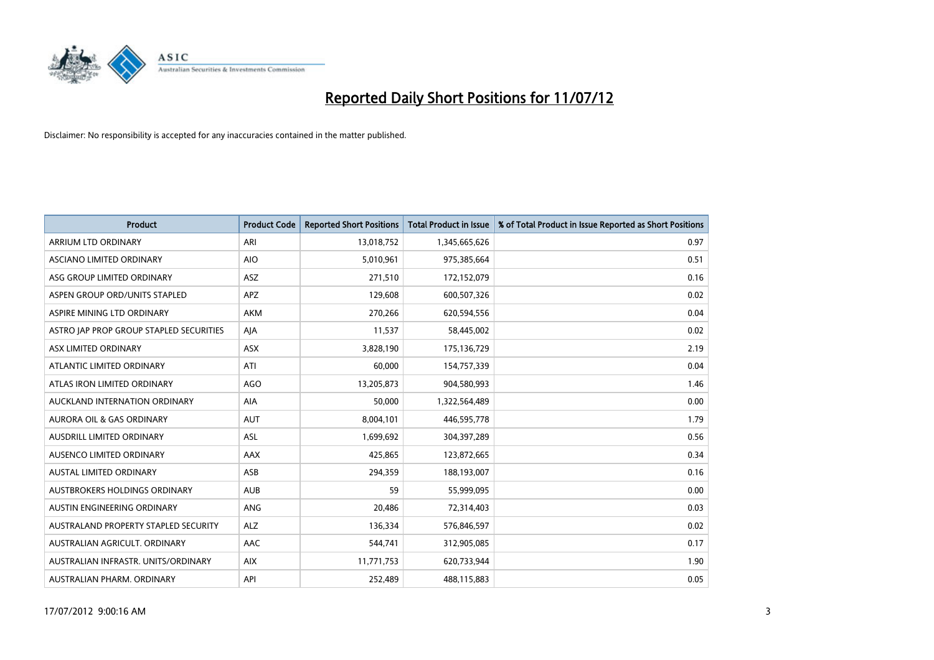

| <b>Product</b>                              | <b>Product Code</b> | <b>Reported Short Positions</b> | <b>Total Product in Issue</b> | % of Total Product in Issue Reported as Short Positions |
|---------------------------------------------|---------------------|---------------------------------|-------------------------------|---------------------------------------------------------|
| ARRIUM LTD ORDINARY                         | ARI                 | 13,018,752                      | 1,345,665,626                 | 0.97                                                    |
| ASCIANO LIMITED ORDINARY                    | <b>AIO</b>          | 5,010,961                       | 975,385,664                   | 0.51                                                    |
| ASG GROUP LIMITED ORDINARY                  | <b>ASZ</b>          | 271,510                         | 172,152,079                   | 0.16                                                    |
| ASPEN GROUP ORD/UNITS STAPLED               | APZ                 | 129,608                         | 600,507,326                   | 0.02                                                    |
| ASPIRE MINING LTD ORDINARY                  | <b>AKM</b>          | 270,266                         | 620,594,556                   | 0.04                                                    |
| ASTRO JAP PROP GROUP STAPLED SECURITIES     | AIA                 | 11,537                          | 58,445,002                    | 0.02                                                    |
| ASX LIMITED ORDINARY                        | <b>ASX</b>          | 3,828,190                       | 175,136,729                   | 2.19                                                    |
| ATLANTIC LIMITED ORDINARY                   | ATI                 | 60,000                          | 154,757,339                   | 0.04                                                    |
| ATLAS IRON LIMITED ORDINARY                 | AGO                 | 13,205,873                      | 904,580,993                   | 1.46                                                    |
| AUCKLAND INTERNATION ORDINARY               | <b>AIA</b>          | 50,000                          | 1,322,564,489                 | 0.00                                                    |
| AURORA OIL & GAS ORDINARY                   | <b>AUT</b>          | 8,004,101                       | 446,595,778                   | 1.79                                                    |
| <b>AUSDRILL LIMITED ORDINARY</b>            | <b>ASL</b>          | 1,699,692                       | 304,397,289                   | 0.56                                                    |
| AUSENCO LIMITED ORDINARY                    | AAX                 | 425,865                         | 123,872,665                   | 0.34                                                    |
| <b>AUSTAL LIMITED ORDINARY</b>              | ASB                 | 294,359                         | 188,193,007                   | 0.16                                                    |
| AUSTBROKERS HOLDINGS ORDINARY               | <b>AUB</b>          | 59                              | 55,999,095                    | 0.00                                                    |
| AUSTIN ENGINEERING ORDINARY                 | <b>ANG</b>          | 20,486                          | 72,314,403                    | 0.03                                                    |
| <b>AUSTRALAND PROPERTY STAPLED SECURITY</b> | <b>ALZ</b>          | 136,334                         | 576,846,597                   | 0.02                                                    |
| AUSTRALIAN AGRICULT. ORDINARY               | AAC                 | 544,741                         | 312,905,085                   | 0.17                                                    |
| AUSTRALIAN INFRASTR, UNITS/ORDINARY         | <b>AIX</b>          | 11,771,753                      | 620,733,944                   | 1.90                                                    |
| AUSTRALIAN PHARM. ORDINARY                  | API                 | 252,489                         | 488,115,883                   | 0.05                                                    |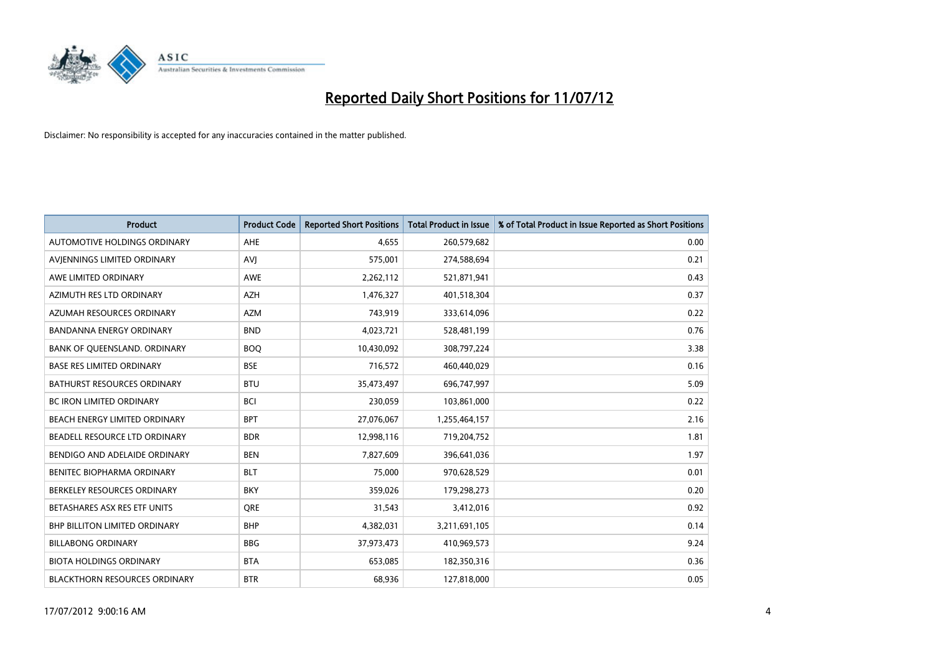

| <b>Product</b>                       | <b>Product Code</b> | <b>Reported Short Positions</b> | <b>Total Product in Issue</b> | % of Total Product in Issue Reported as Short Positions |
|--------------------------------------|---------------------|---------------------------------|-------------------------------|---------------------------------------------------------|
| AUTOMOTIVE HOLDINGS ORDINARY         | <b>AHE</b>          | 4.655                           | 260,579,682                   | 0.00                                                    |
| AVIENNINGS LIMITED ORDINARY          | AVI                 | 575,001                         | 274,588,694                   | 0.21                                                    |
| AWE LIMITED ORDINARY                 | <b>AWE</b>          | 2,262,112                       | 521,871,941                   | 0.43                                                    |
| AZIMUTH RES LTD ORDINARY             | <b>AZH</b>          | 1,476,327                       | 401,518,304                   | 0.37                                                    |
| AZUMAH RESOURCES ORDINARY            | <b>AZM</b>          | 743,919                         | 333,614,096                   | 0.22                                                    |
| BANDANNA ENERGY ORDINARY             | <b>BND</b>          | 4,023,721                       | 528,481,199                   | 0.76                                                    |
| BANK OF QUEENSLAND. ORDINARY         | <b>BOQ</b>          | 10,430,092                      | 308,797,224                   | 3.38                                                    |
| <b>BASE RES LIMITED ORDINARY</b>     | <b>BSE</b>          | 716,572                         | 460,440,029                   | 0.16                                                    |
| <b>BATHURST RESOURCES ORDINARY</b>   | <b>BTU</b>          | 35,473,497                      | 696,747,997                   | 5.09                                                    |
| <b>BC IRON LIMITED ORDINARY</b>      | <b>BCI</b>          | 230,059                         | 103,861,000                   | 0.22                                                    |
| BEACH ENERGY LIMITED ORDINARY        | <b>BPT</b>          | 27,076,067                      | 1,255,464,157                 | 2.16                                                    |
| BEADELL RESOURCE LTD ORDINARY        | <b>BDR</b>          | 12,998,116                      | 719,204,752                   | 1.81                                                    |
| BENDIGO AND ADELAIDE ORDINARY        | <b>BEN</b>          | 7,827,609                       | 396,641,036                   | 1.97                                                    |
| <b>BENITEC BIOPHARMA ORDINARY</b>    | <b>BLT</b>          | 75,000                          | 970,628,529                   | 0.01                                                    |
| BERKELEY RESOURCES ORDINARY          | <b>BKY</b>          | 359,026                         | 179,298,273                   | 0.20                                                    |
| BETASHARES ASX RES ETF UNITS         | <b>ORE</b>          | 31,543                          | 3,412,016                     | 0.92                                                    |
| BHP BILLITON LIMITED ORDINARY        | <b>BHP</b>          | 4,382,031                       | 3,211,691,105                 | 0.14                                                    |
| <b>BILLABONG ORDINARY</b>            | <b>BBG</b>          | 37,973,473                      | 410,969,573                   | 9.24                                                    |
| <b>BIOTA HOLDINGS ORDINARY</b>       | <b>BTA</b>          | 653,085                         | 182,350,316                   | 0.36                                                    |
| <b>BLACKTHORN RESOURCES ORDINARY</b> | <b>BTR</b>          | 68.936                          | 127,818,000                   | 0.05                                                    |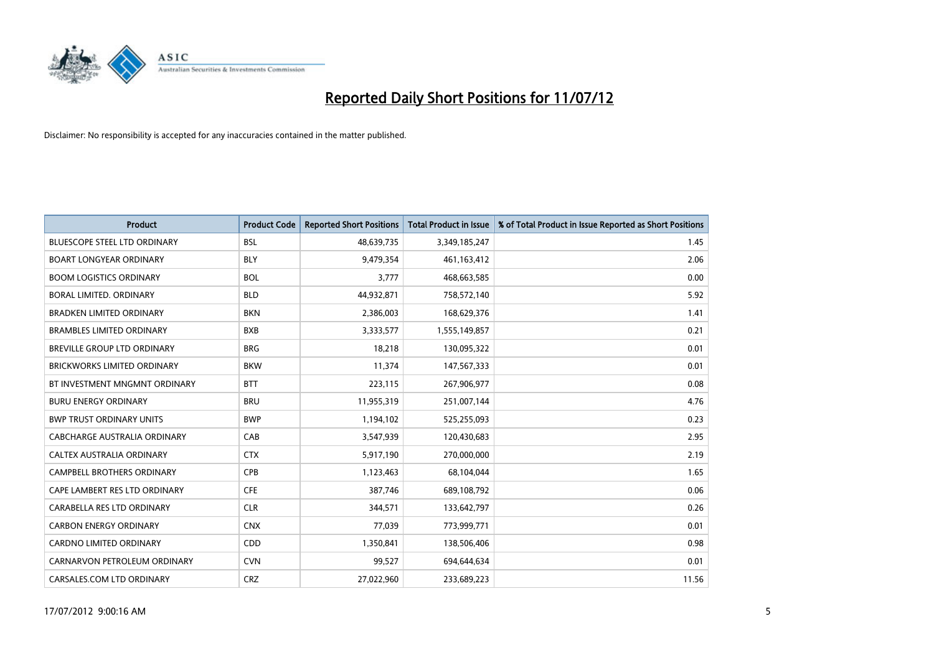

| <b>Product</b>                      | <b>Product Code</b> | <b>Reported Short Positions</b> | <b>Total Product in Issue</b> | % of Total Product in Issue Reported as Short Positions |
|-------------------------------------|---------------------|---------------------------------|-------------------------------|---------------------------------------------------------|
| <b>BLUESCOPE STEEL LTD ORDINARY</b> | <b>BSL</b>          | 48,639,735                      | 3,349,185,247                 | 1.45                                                    |
| <b>BOART LONGYEAR ORDINARY</b>      | <b>BLY</b>          | 9,479,354                       | 461,163,412                   | 2.06                                                    |
| <b>BOOM LOGISTICS ORDINARY</b>      | <b>BOL</b>          | 3,777                           | 468,663,585                   | 0.00                                                    |
| BORAL LIMITED. ORDINARY             | <b>BLD</b>          | 44,932,871                      | 758,572,140                   | 5.92                                                    |
| <b>BRADKEN LIMITED ORDINARY</b>     | <b>BKN</b>          | 2,386,003                       | 168,629,376                   | 1.41                                                    |
| <b>BRAMBLES LIMITED ORDINARY</b>    | <b>BXB</b>          | 3,333,577                       | 1,555,149,857                 | 0.21                                                    |
| BREVILLE GROUP LTD ORDINARY         | <b>BRG</b>          | 18,218                          | 130,095,322                   | 0.01                                                    |
| <b>BRICKWORKS LIMITED ORDINARY</b>  | <b>BKW</b>          | 11,374                          | 147,567,333                   | 0.01                                                    |
| BT INVESTMENT MNGMNT ORDINARY       | <b>BTT</b>          | 223,115                         | 267,906,977                   | 0.08                                                    |
| <b>BURU ENERGY ORDINARY</b>         | <b>BRU</b>          | 11,955,319                      | 251,007,144                   | 4.76                                                    |
| <b>BWP TRUST ORDINARY UNITS</b>     | <b>BWP</b>          | 1,194,102                       | 525,255,093                   | 0.23                                                    |
| CABCHARGE AUSTRALIA ORDINARY        | CAB                 | 3,547,939                       | 120,430,683                   | 2.95                                                    |
| CALTEX AUSTRALIA ORDINARY           | <b>CTX</b>          | 5,917,190                       | 270,000,000                   | 2.19                                                    |
| <b>CAMPBELL BROTHERS ORDINARY</b>   | CPB                 | 1,123,463                       | 68,104,044                    | 1.65                                                    |
| CAPE LAMBERT RES LTD ORDINARY       | <b>CFE</b>          | 387,746                         | 689,108,792                   | 0.06                                                    |
| CARABELLA RES LTD ORDINARY          | <b>CLR</b>          | 344,571                         | 133,642,797                   | 0.26                                                    |
| <b>CARBON ENERGY ORDINARY</b>       | <b>CNX</b>          | 77,039                          | 773,999,771                   | 0.01                                                    |
| CARDNO LIMITED ORDINARY             | CDD                 | 1,350,841                       | 138,506,406                   | 0.98                                                    |
| CARNARVON PETROLEUM ORDINARY        | <b>CVN</b>          | 99,527                          | 694,644,634                   | 0.01                                                    |
| CARSALES.COM LTD ORDINARY           | <b>CRZ</b>          | 27,022,960                      | 233,689,223                   | 11.56                                                   |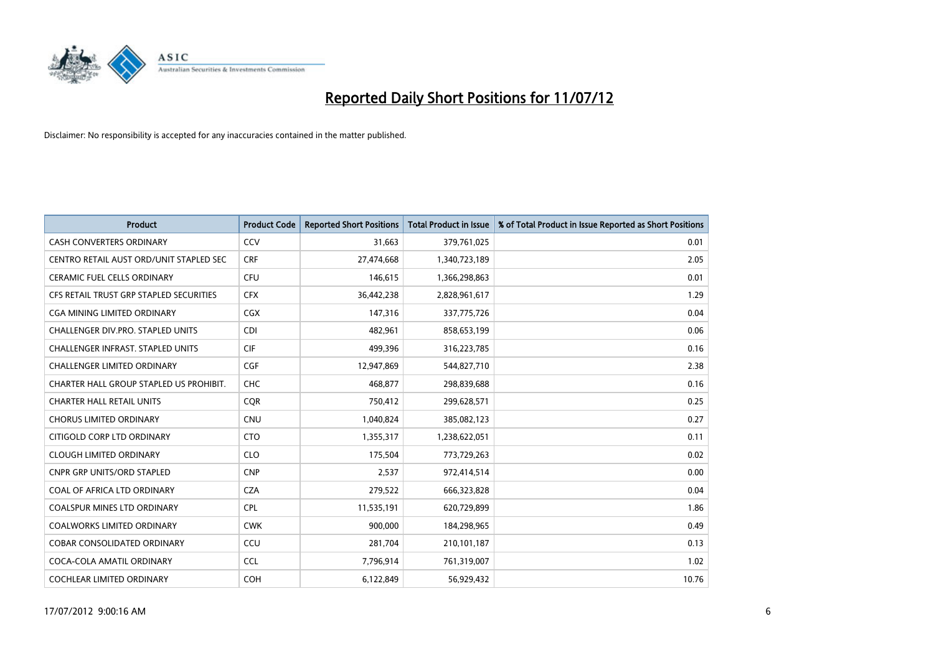

| <b>Product</b>                           | <b>Product Code</b> | <b>Reported Short Positions</b> | <b>Total Product in Issue</b> | % of Total Product in Issue Reported as Short Positions |
|------------------------------------------|---------------------|---------------------------------|-------------------------------|---------------------------------------------------------|
| <b>CASH CONVERTERS ORDINARY</b>          | CCV                 | 31,663                          | 379,761,025                   | 0.01                                                    |
| CENTRO RETAIL AUST ORD/UNIT STAPLED SEC  | <b>CRF</b>          | 27,474,668                      | 1,340,723,189                 | 2.05                                                    |
| <b>CERAMIC FUEL CELLS ORDINARY</b>       | <b>CFU</b>          | 146,615                         | 1,366,298,863                 | 0.01                                                    |
| CFS RETAIL TRUST GRP STAPLED SECURITIES  | <b>CFX</b>          | 36,442,238                      | 2,828,961,617                 | 1.29                                                    |
| CGA MINING LIMITED ORDINARY              | <b>CGX</b>          | 147,316                         | 337,775,726                   | 0.04                                                    |
| <b>CHALLENGER DIV.PRO. STAPLED UNITS</b> | <b>CDI</b>          | 482,961                         | 858,653,199                   | 0.06                                                    |
| <b>CHALLENGER INFRAST, STAPLED UNITS</b> | <b>CIF</b>          | 499.396                         | 316,223,785                   | 0.16                                                    |
| <b>CHALLENGER LIMITED ORDINARY</b>       | CGF                 | 12,947,869                      | 544,827,710                   | 2.38                                                    |
| CHARTER HALL GROUP STAPLED US PROHIBIT.  | <b>CHC</b>          | 468,877                         | 298,839,688                   | 0.16                                                    |
| <b>CHARTER HALL RETAIL UNITS</b>         | <b>COR</b>          | 750,412                         | 299,628,571                   | 0.25                                                    |
| <b>CHORUS LIMITED ORDINARY</b>           | <b>CNU</b>          | 1,040,824                       | 385,082,123                   | 0.27                                                    |
| CITIGOLD CORP LTD ORDINARY               | <b>CTO</b>          | 1,355,317                       | 1,238,622,051                 | 0.11                                                    |
| <b>CLOUGH LIMITED ORDINARY</b>           | <b>CLO</b>          | 175,504                         | 773,729,263                   | 0.02                                                    |
| <b>CNPR GRP UNITS/ORD STAPLED</b>        | <b>CNP</b>          | 2.537                           | 972,414,514                   | 0.00                                                    |
| <b>COAL OF AFRICA LTD ORDINARY</b>       | <b>CZA</b>          | 279,522                         | 666,323,828                   | 0.04                                                    |
| <b>COALSPUR MINES LTD ORDINARY</b>       | <b>CPL</b>          | 11,535,191                      | 620,729,899                   | 1.86                                                    |
| <b>COALWORKS LIMITED ORDINARY</b>        | <b>CWK</b>          | 900,000                         | 184,298,965                   | 0.49                                                    |
| COBAR CONSOLIDATED ORDINARY              | CCU                 | 281,704                         | 210,101,187                   | 0.13                                                    |
| COCA-COLA AMATIL ORDINARY                | <b>CCL</b>          | 7,796,914                       | 761,319,007                   | 1.02                                                    |
| <b>COCHLEAR LIMITED ORDINARY</b>         | <b>COH</b>          | 6,122,849                       | 56.929.432                    | 10.76                                                   |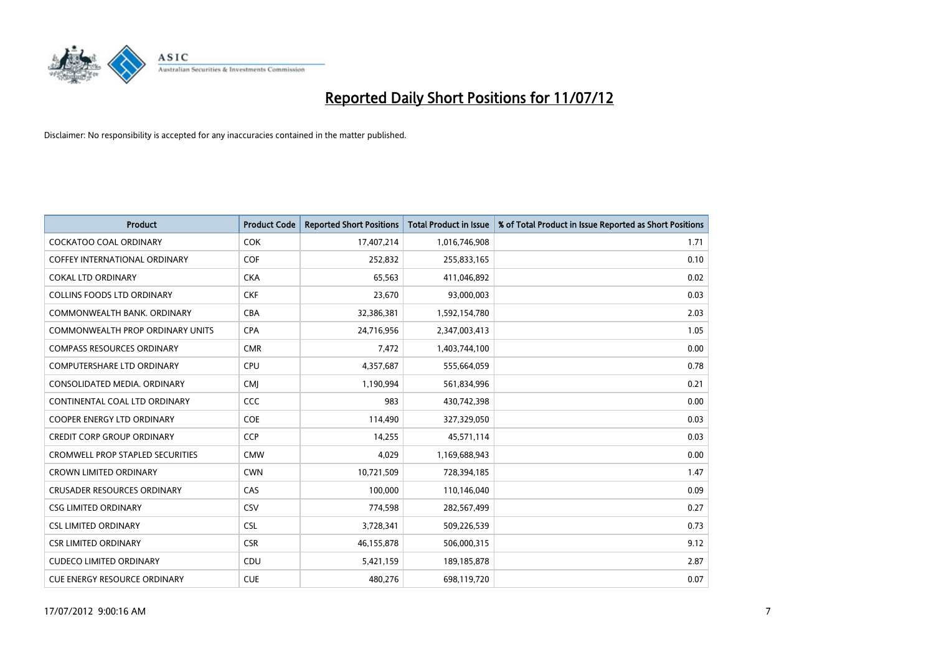

| <b>Product</b>                          | <b>Product Code</b> | <b>Reported Short Positions</b> | <b>Total Product in Issue</b> | % of Total Product in Issue Reported as Short Positions |
|-----------------------------------------|---------------------|---------------------------------|-------------------------------|---------------------------------------------------------|
| <b>COCKATOO COAL ORDINARY</b>           | <b>COK</b>          | 17,407,214                      | 1,016,746,908                 | 1.71                                                    |
| <b>COFFEY INTERNATIONAL ORDINARY</b>    | <b>COF</b>          | 252,832                         | 255,833,165                   | 0.10                                                    |
| <b>COKAL LTD ORDINARY</b>               | <b>CKA</b>          | 65,563                          | 411,046,892                   | 0.02                                                    |
| COLLINS FOODS LTD ORDINARY              | <b>CKF</b>          | 23,670                          | 93,000,003                    | 0.03                                                    |
| COMMONWEALTH BANK, ORDINARY             | CBA                 | 32,386,381                      | 1,592,154,780                 | 2.03                                                    |
| COMMONWEALTH PROP ORDINARY UNITS        | <b>CPA</b>          | 24,716,956                      | 2,347,003,413                 | 1.05                                                    |
| <b>COMPASS RESOURCES ORDINARY</b>       | <b>CMR</b>          | 7,472                           | 1,403,744,100                 | 0.00                                                    |
| <b>COMPUTERSHARE LTD ORDINARY</b>       | <b>CPU</b>          | 4,357,687                       | 555,664,059                   | 0.78                                                    |
| CONSOLIDATED MEDIA. ORDINARY            | <b>CMI</b>          | 1,190,994                       | 561,834,996                   | 0.21                                                    |
| CONTINENTAL COAL LTD ORDINARY           | <b>CCC</b>          | 983                             | 430,742,398                   | 0.00                                                    |
| <b>COOPER ENERGY LTD ORDINARY</b>       | <b>COE</b>          | 114,490                         | 327,329,050                   | 0.03                                                    |
| <b>CREDIT CORP GROUP ORDINARY</b>       | <b>CCP</b>          | 14,255                          | 45,571,114                    | 0.03                                                    |
| <b>CROMWELL PROP STAPLED SECURITIES</b> | <b>CMW</b>          | 4.029                           | 1,169,688,943                 | 0.00                                                    |
| <b>CROWN LIMITED ORDINARY</b>           | <b>CWN</b>          | 10,721,509                      | 728,394,185                   | 1.47                                                    |
| <b>CRUSADER RESOURCES ORDINARY</b>      | CAS                 | 100,000                         | 110,146,040                   | 0.09                                                    |
| <b>CSG LIMITED ORDINARY</b>             | CSV                 | 774,598                         | 282,567,499                   | 0.27                                                    |
| <b>CSL LIMITED ORDINARY</b>             | <b>CSL</b>          | 3,728,341                       | 509,226,539                   | 0.73                                                    |
| <b>CSR LIMITED ORDINARY</b>             | <b>CSR</b>          | 46,155,878                      | 506,000,315                   | 9.12                                                    |
| <b>CUDECO LIMITED ORDINARY</b>          | CDU                 | 5,421,159                       | 189, 185, 878                 | 2.87                                                    |
| <b>CUE ENERGY RESOURCE ORDINARY</b>     | <b>CUE</b>          | 480.276                         | 698,119,720                   | 0.07                                                    |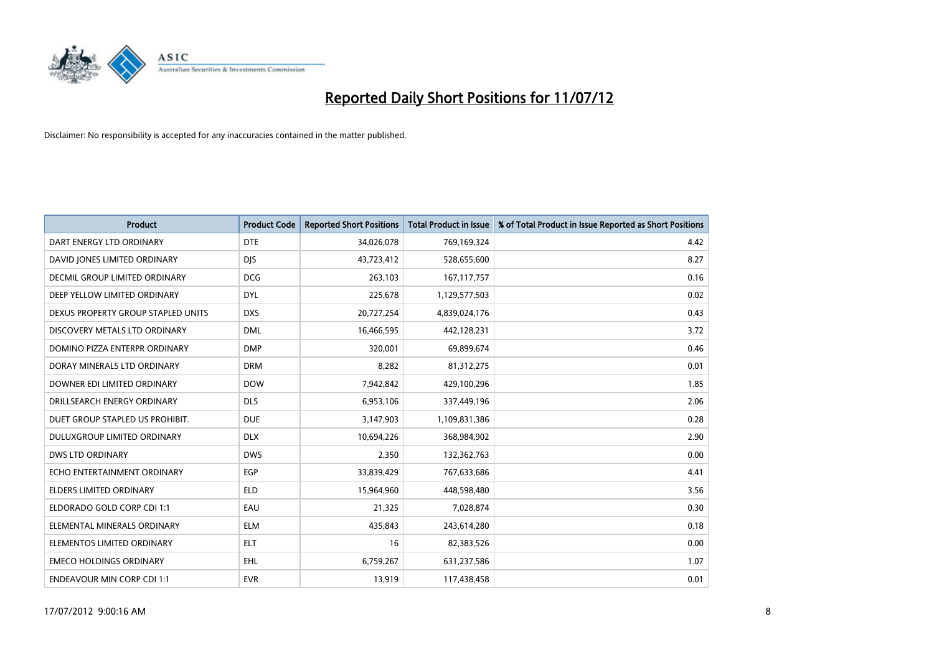

| <b>Product</b>                       | <b>Product Code</b> | <b>Reported Short Positions</b> | <b>Total Product in Issue</b> | % of Total Product in Issue Reported as Short Positions |
|--------------------------------------|---------------------|---------------------------------|-------------------------------|---------------------------------------------------------|
| DART ENERGY LTD ORDINARY             | <b>DTE</b>          | 34,026,078                      | 769,169,324                   | 4.42                                                    |
| DAVID JONES LIMITED ORDINARY         | <b>DJS</b>          | 43,723,412                      | 528,655,600                   | 8.27                                                    |
| <b>DECMIL GROUP LIMITED ORDINARY</b> | <b>DCG</b>          | 263,103                         | 167, 117, 757                 | 0.16                                                    |
| DEEP YELLOW LIMITED ORDINARY         | <b>DYL</b>          | 225,678                         | 1,129,577,503                 | 0.02                                                    |
| DEXUS PROPERTY GROUP STAPLED UNITS   | <b>DXS</b>          | 20,727,254                      | 4,839,024,176                 | 0.43                                                    |
| DISCOVERY METALS LTD ORDINARY        | <b>DML</b>          | 16,466,595                      | 442,128,231                   | 3.72                                                    |
| DOMINO PIZZA ENTERPR ORDINARY        | <b>DMP</b>          | 320,001                         | 69,899,674                    | 0.46                                                    |
| DORAY MINERALS LTD ORDINARY          | <b>DRM</b>          | 8,282                           | 81,312,275                    | 0.01                                                    |
| DOWNER EDI LIMITED ORDINARY          | <b>DOW</b>          | 7,942,842                       | 429,100,296                   | 1.85                                                    |
| DRILLSEARCH ENERGY ORDINARY          | <b>DLS</b>          | 6,953,106                       | 337,449,196                   | 2.06                                                    |
| DUET GROUP STAPLED US PROHIBIT.      | <b>DUE</b>          | 3,147,903                       | 1,109,831,386                 | 0.28                                                    |
| DULUXGROUP LIMITED ORDINARY          | <b>DLX</b>          | 10,694,226                      | 368,984,902                   | 2.90                                                    |
| <b>DWS LTD ORDINARY</b>              | <b>DWS</b>          | 2,350                           | 132,362,763                   | 0.00                                                    |
| ECHO ENTERTAINMENT ORDINARY          | EGP                 | 33,839,429                      | 767,633,686                   | 4.41                                                    |
| <b>ELDERS LIMITED ORDINARY</b>       | <b>ELD</b>          | 15,964,960                      | 448,598,480                   | 3.56                                                    |
| ELDORADO GOLD CORP CDI 1:1           | EAU                 | 21,325                          | 7,028,874                     | 0.30                                                    |
| ELEMENTAL MINERALS ORDINARY          | <b>ELM</b>          | 435,843                         | 243,614,280                   | 0.18                                                    |
| ELEMENTOS LIMITED ORDINARY           | <b>ELT</b>          | 16                              | 82,383,526                    | 0.00                                                    |
| <b>EMECO HOLDINGS ORDINARY</b>       | <b>EHL</b>          | 6,759,267                       | 631,237,586                   | 1.07                                                    |
| <b>ENDEAVOUR MIN CORP CDI 1:1</b>    | <b>EVR</b>          | 13,919                          | 117,438,458                   | 0.01                                                    |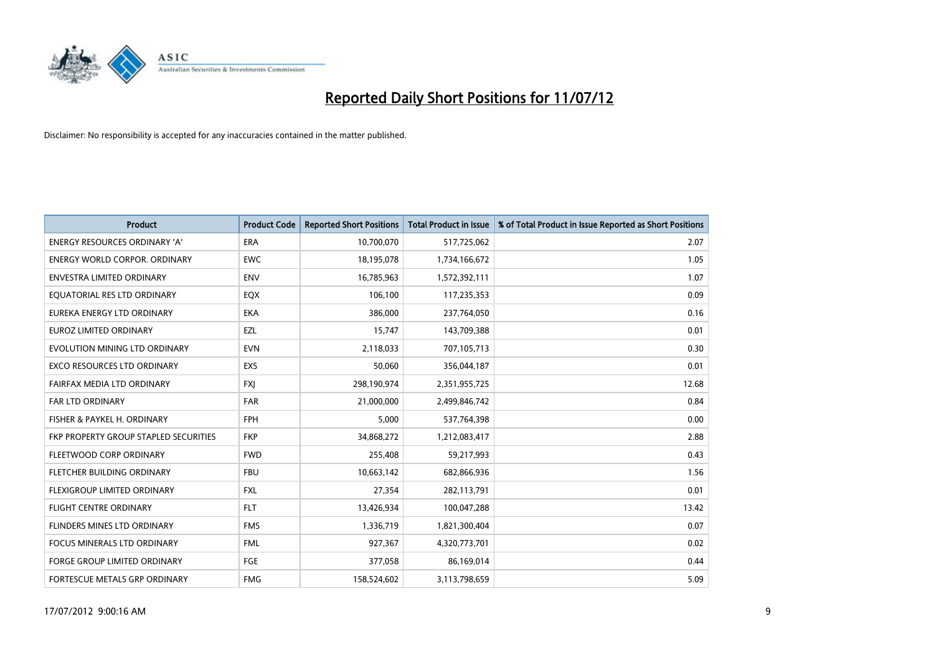

| <b>Product</b>                               | <b>Product Code</b> | <b>Reported Short Positions</b> | <b>Total Product in Issue</b> | % of Total Product in Issue Reported as Short Positions |
|----------------------------------------------|---------------------|---------------------------------|-------------------------------|---------------------------------------------------------|
| <b>ENERGY RESOURCES ORDINARY 'A'</b>         | ERA                 | 10,700,070                      | 517,725,062                   | 2.07                                                    |
| <b>ENERGY WORLD CORPOR, ORDINARY</b>         | <b>EWC</b>          | 18,195,078                      | 1,734,166,672                 | 1.05                                                    |
| <b>ENVESTRA LIMITED ORDINARY</b>             | <b>ENV</b>          | 16,785,963                      | 1,572,392,111                 | 1.07                                                    |
| EQUATORIAL RES LTD ORDINARY                  | <b>EQX</b>          | 106,100                         | 117,235,353                   | 0.09                                                    |
| <b>EUREKA ENERGY LTD ORDINARY</b>            | <b>EKA</b>          | 386.000                         | 237,764,050                   | 0.16                                                    |
| <b>EUROZ LIMITED ORDINARY</b>                | EZL                 | 15,747                          | 143,709,388                   | 0.01                                                    |
| EVOLUTION MINING LTD ORDINARY                | <b>EVN</b>          | 2,118,033                       | 707,105,713                   | 0.30                                                    |
| <b>EXCO RESOURCES LTD ORDINARY</b>           | <b>EXS</b>          | 50,060                          | 356,044,187                   | 0.01                                                    |
| FAIRFAX MEDIA LTD ORDINARY                   | <b>FXJ</b>          | 298,190,974                     | 2,351,955,725                 | 12.68                                                   |
| <b>FAR LTD ORDINARY</b>                      | <b>FAR</b>          | 21,000,000                      | 2,499,846,742                 | 0.84                                                    |
| FISHER & PAYKEL H. ORDINARY                  | <b>FPH</b>          | 5,000                           | 537,764,398                   | 0.00                                                    |
| <b>FKP PROPERTY GROUP STAPLED SECURITIES</b> | <b>FKP</b>          | 34,868,272                      | 1,212,083,417                 | 2.88                                                    |
| FLEETWOOD CORP ORDINARY                      | <b>FWD</b>          | 255,408                         | 59,217,993                    | 0.43                                                    |
| FLETCHER BUILDING ORDINARY                   | <b>FBU</b>          | 10,663,142                      | 682,866,936                   | 1.56                                                    |
| FLEXIGROUP LIMITED ORDINARY                  | <b>FXL</b>          | 27,354                          | 282,113,791                   | 0.01                                                    |
| <b>FLIGHT CENTRE ORDINARY</b>                | <b>FLT</b>          | 13,426,934                      | 100,047,288                   | 13.42                                                   |
| <b>FLINDERS MINES LTD ORDINARY</b>           | <b>FMS</b>          | 1,336,719                       | 1,821,300,404                 | 0.07                                                    |
| FOCUS MINERALS LTD ORDINARY                  | <b>FML</b>          | 927,367                         | 4,320,773,701                 | 0.02                                                    |
| <b>FORGE GROUP LIMITED ORDINARY</b>          | FGE                 | 377,058                         | 86,169,014                    | 0.44                                                    |
| <b>FORTESCUE METALS GRP ORDINARY</b>         | <b>FMG</b>          | 158,524,602                     | 3,113,798,659                 | 5.09                                                    |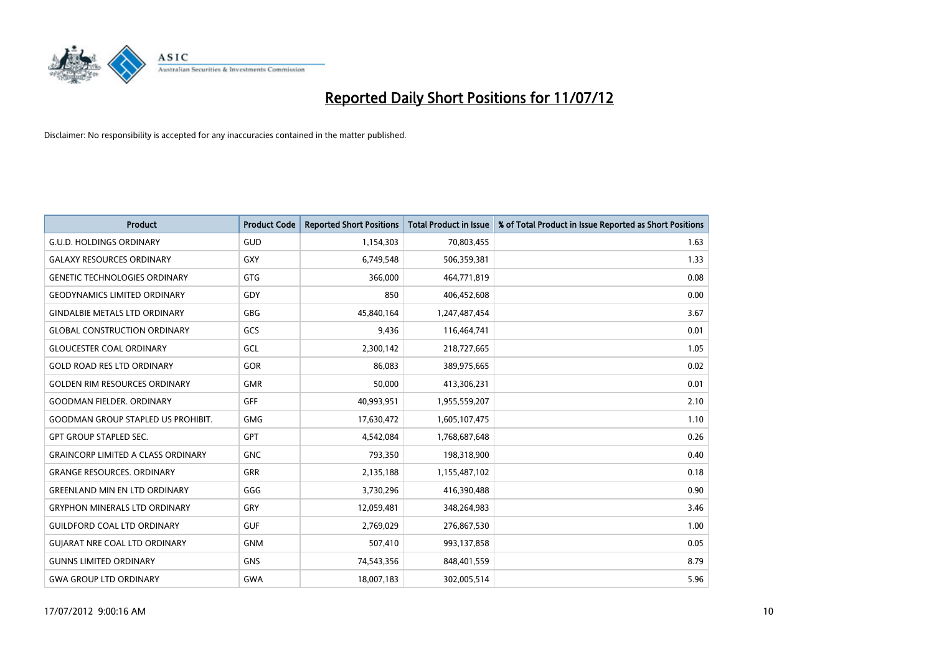

| <b>Product</b>                            | <b>Product Code</b> | <b>Reported Short Positions</b> | <b>Total Product in Issue</b> | % of Total Product in Issue Reported as Short Positions |
|-------------------------------------------|---------------------|---------------------------------|-------------------------------|---------------------------------------------------------|
| <b>G.U.D. HOLDINGS ORDINARY</b>           | GUD                 | 1,154,303                       | 70,803,455                    | 1.63                                                    |
| <b>GALAXY RESOURCES ORDINARY</b>          | <b>GXY</b>          | 6,749,548                       | 506,359,381                   | 1.33                                                    |
| <b>GENETIC TECHNOLOGIES ORDINARY</b>      | <b>GTG</b>          | 366,000                         | 464,771,819                   | 0.08                                                    |
| <b>GEODYNAMICS LIMITED ORDINARY</b>       | GDY                 | 850                             | 406,452,608                   | 0.00                                                    |
| <b>GINDALBIE METALS LTD ORDINARY</b>      | <b>GBG</b>          | 45,840,164                      | 1,247,487,454                 | 3.67                                                    |
| <b>GLOBAL CONSTRUCTION ORDINARY</b>       | GCS                 | 9,436                           | 116,464,741                   | 0.01                                                    |
| <b>GLOUCESTER COAL ORDINARY</b>           | GCL                 | 2,300,142                       | 218,727,665                   | 1.05                                                    |
| <b>GOLD ROAD RES LTD ORDINARY</b>         | <b>GOR</b>          | 86,083                          | 389,975,665                   | 0.02                                                    |
| <b>GOLDEN RIM RESOURCES ORDINARY</b>      | <b>GMR</b>          | 50,000                          | 413,306,231                   | 0.01                                                    |
| <b>GOODMAN FIELDER, ORDINARY</b>          | <b>GFF</b>          | 40,993,951                      | 1,955,559,207                 | 2.10                                                    |
| <b>GOODMAN GROUP STAPLED US PROHIBIT.</b> | <b>GMG</b>          | 17,630,472                      | 1,605,107,475                 | 1.10                                                    |
| <b>GPT GROUP STAPLED SEC.</b>             | <b>GPT</b>          | 4,542,084                       | 1,768,687,648                 | 0.26                                                    |
| <b>GRAINCORP LIMITED A CLASS ORDINARY</b> | <b>GNC</b>          | 793,350                         | 198,318,900                   | 0.40                                                    |
| <b>GRANGE RESOURCES, ORDINARY</b>         | <b>GRR</b>          | 2,135,188                       | 1,155,487,102                 | 0.18                                                    |
| <b>GREENLAND MIN EN LTD ORDINARY</b>      | GGG                 | 3,730,296                       | 416,390,488                   | 0.90                                                    |
| <b>GRYPHON MINERALS LTD ORDINARY</b>      | GRY                 | 12,059,481                      | 348,264,983                   | 3.46                                                    |
| <b>GUILDFORD COAL LTD ORDINARY</b>        | <b>GUF</b>          | 2,769,029                       | 276,867,530                   | 1.00                                                    |
| <b>GUIARAT NRE COAL LTD ORDINARY</b>      | <b>GNM</b>          | 507,410                         | 993,137,858                   | 0.05                                                    |
| <b>GUNNS LIMITED ORDINARY</b>             | <b>GNS</b>          | 74,543,356                      | 848,401,559                   | 8.79                                                    |
| <b>GWA GROUP LTD ORDINARY</b>             | <b>GWA</b>          | 18,007,183                      | 302,005,514                   | 5.96                                                    |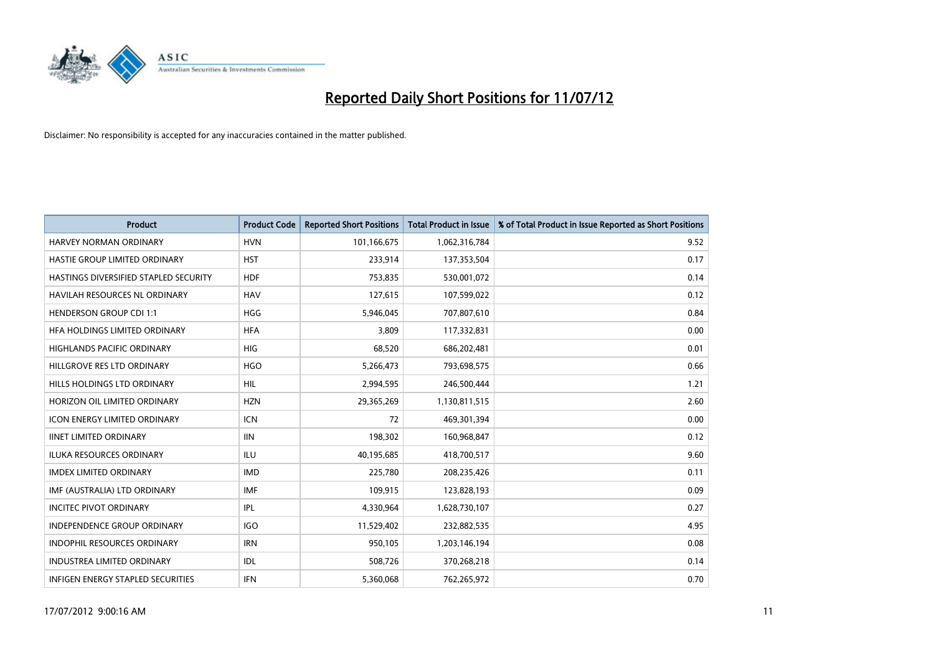

| <b>Product</b>                        | <b>Product Code</b> | <b>Reported Short Positions</b> | <b>Total Product in Issue</b> | % of Total Product in Issue Reported as Short Positions |
|---------------------------------------|---------------------|---------------------------------|-------------------------------|---------------------------------------------------------|
| <b>HARVEY NORMAN ORDINARY</b>         | <b>HVN</b>          | 101,166,675                     | 1,062,316,784                 | 9.52                                                    |
| HASTIE GROUP LIMITED ORDINARY         | <b>HST</b>          | 233,914                         | 137,353,504                   | 0.17                                                    |
| HASTINGS DIVERSIFIED STAPLED SECURITY | <b>HDF</b>          | 753,835                         | 530,001,072                   | 0.14                                                    |
| HAVILAH RESOURCES NL ORDINARY         | <b>HAV</b>          | 127,615                         | 107,599,022                   | 0.12                                                    |
| <b>HENDERSON GROUP CDI 1:1</b>        | <b>HGG</b>          | 5,946,045                       | 707,807,610                   | 0.84                                                    |
| HFA HOLDINGS LIMITED ORDINARY         | <b>HFA</b>          | 3.809                           | 117,332,831                   | 0.00                                                    |
| <b>HIGHLANDS PACIFIC ORDINARY</b>     | HIG.                | 68,520                          | 686,202,481                   | 0.01                                                    |
| HILLGROVE RES LTD ORDINARY            | <b>HGO</b>          | 5,266,473                       | 793,698,575                   | 0.66                                                    |
| HILLS HOLDINGS LTD ORDINARY           | HIL                 | 2,994,595                       | 246,500,444                   | 1.21                                                    |
| HORIZON OIL LIMITED ORDINARY          | <b>HZN</b>          | 29,365,269                      | 1,130,811,515                 | 2.60                                                    |
| <b>ICON ENERGY LIMITED ORDINARY</b>   | <b>ICN</b>          | 72                              | 469,301,394                   | 0.00                                                    |
| <b>IINET LIMITED ORDINARY</b>         | <b>IIN</b>          | 198,302                         | 160,968,847                   | 0.12                                                    |
| <b>ILUKA RESOURCES ORDINARY</b>       | ILU                 | 40,195,685                      | 418,700,517                   | 9.60                                                    |
| <b>IMDEX LIMITED ORDINARY</b>         | <b>IMD</b>          | 225,780                         | 208,235,426                   | 0.11                                                    |
| IMF (AUSTRALIA) LTD ORDINARY          | <b>IMF</b>          | 109,915                         | 123,828,193                   | 0.09                                                    |
| <b>INCITEC PIVOT ORDINARY</b>         | IPL                 | 4,330,964                       | 1,628,730,107                 | 0.27                                                    |
| <b>INDEPENDENCE GROUP ORDINARY</b>    | <b>IGO</b>          | 11,529,402                      | 232,882,535                   | 4.95                                                    |
| INDOPHIL RESOURCES ORDINARY           | <b>IRN</b>          | 950,105                         | 1,203,146,194                 | 0.08                                                    |
| <b>INDUSTREA LIMITED ORDINARY</b>     | IDL                 | 508,726                         | 370,268,218                   | 0.14                                                    |
| INFIGEN ENERGY STAPLED SECURITIES     | <b>IFN</b>          | 5,360,068                       | 762,265,972                   | 0.70                                                    |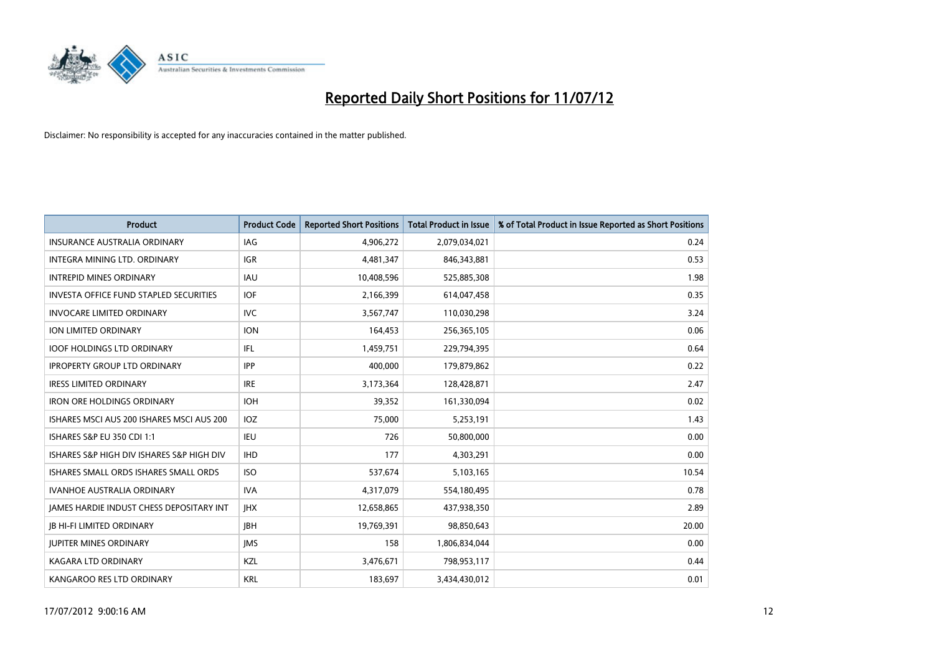

| <b>Product</b>                                  | <b>Product Code</b> | <b>Reported Short Positions</b> | <b>Total Product in Issue</b> | % of Total Product in Issue Reported as Short Positions |
|-------------------------------------------------|---------------------|---------------------------------|-------------------------------|---------------------------------------------------------|
| <b>INSURANCE AUSTRALIA ORDINARY</b>             | IAG                 | 4,906,272                       | 2,079,034,021                 | 0.24                                                    |
| INTEGRA MINING LTD, ORDINARY                    | <b>IGR</b>          | 4,481,347                       | 846, 343, 881                 | 0.53                                                    |
| <b>INTREPID MINES ORDINARY</b>                  | <b>IAU</b>          | 10,408,596                      | 525,885,308                   | 1.98                                                    |
| <b>INVESTA OFFICE FUND STAPLED SECURITIES</b>   | <b>IOF</b>          | 2,166,399                       | 614,047,458                   | 0.35                                                    |
| <b>INVOCARE LIMITED ORDINARY</b>                | <b>IVC</b>          | 3,567,747                       | 110,030,298                   | 3.24                                                    |
| <b>ION LIMITED ORDINARY</b>                     | <b>ION</b>          | 164,453                         | 256,365,105                   | 0.06                                                    |
| <b>IOOF HOLDINGS LTD ORDINARY</b>               | IFL                 | 1,459,751                       | 229,794,395                   | 0.64                                                    |
| <b>IPROPERTY GROUP LTD ORDINARY</b>             | <b>IPP</b>          | 400,000                         | 179,879,862                   | 0.22                                                    |
| <b>IRESS LIMITED ORDINARY</b>                   | <b>IRE</b>          | 3,173,364                       | 128,428,871                   | 2.47                                                    |
| <b>IRON ORE HOLDINGS ORDINARY</b>               | <b>IOH</b>          | 39,352                          | 161,330,094                   | 0.02                                                    |
| ISHARES MSCI AUS 200 ISHARES MSCI AUS 200       | <b>IOZ</b>          | 75,000                          | 5,253,191                     | 1.43                                                    |
| ISHARES S&P EU 350 CDI 1:1                      | <b>IEU</b>          | 726                             | 50,800,000                    | 0.00                                                    |
| ISHARES S&P HIGH DIV ISHARES S&P HIGH DIV       | <b>IHD</b>          | 177                             | 4,303,291                     | 0.00                                                    |
| ISHARES SMALL ORDS ISHARES SMALL ORDS           | <b>ISO</b>          | 537,674                         | 5,103,165                     | 10.54                                                   |
| <b>IVANHOE AUSTRALIA ORDINARY</b>               | <b>IVA</b>          | 4,317,079                       | 554,180,495                   | 0.78                                                    |
| <b>JAMES HARDIE INDUST CHESS DEPOSITARY INT</b> | <b>IHX</b>          | 12,658,865                      | 437,938,350                   | 2.89                                                    |
| <b>IB HI-FI LIMITED ORDINARY</b>                | <b>IBH</b>          | 19,769,391                      | 98,850,643                    | 20.00                                                   |
| <b>JUPITER MINES ORDINARY</b>                   | <b>IMS</b>          | 158                             | 1,806,834,044                 | 0.00                                                    |
| <b>KAGARA LTD ORDINARY</b>                      | <b>KZL</b>          | 3,476,671                       | 798,953,117                   | 0.44                                                    |
| KANGAROO RES LTD ORDINARY                       | <b>KRL</b>          | 183,697                         | 3,434,430,012                 | 0.01                                                    |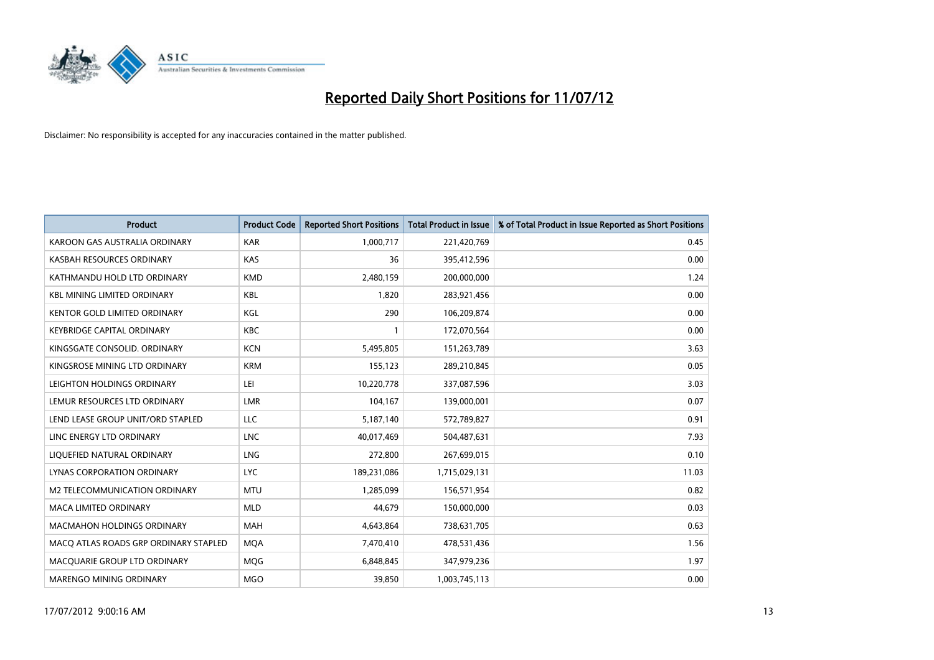

| <b>Product</b>                        | <b>Product Code</b> | <b>Reported Short Positions</b> | <b>Total Product in Issue</b> | % of Total Product in Issue Reported as Short Positions |
|---------------------------------------|---------------------|---------------------------------|-------------------------------|---------------------------------------------------------|
| KAROON GAS AUSTRALIA ORDINARY         | <b>KAR</b>          | 1,000,717                       | 221,420,769                   | 0.45                                                    |
| KASBAH RESOURCES ORDINARY             | <b>KAS</b>          | 36                              | 395,412,596                   | 0.00                                                    |
| KATHMANDU HOLD LTD ORDINARY           | <b>KMD</b>          | 2,480,159                       | 200,000,000                   | 1.24                                                    |
| <b>KBL MINING LIMITED ORDINARY</b>    | <b>KBL</b>          | 1,820                           | 283,921,456                   | 0.00                                                    |
| <b>KENTOR GOLD LIMITED ORDINARY</b>   | KGL                 | 290                             | 106,209,874                   | 0.00                                                    |
| <b>KEYBRIDGE CAPITAL ORDINARY</b>     | <b>KBC</b>          |                                 | 172,070,564                   | 0.00                                                    |
| KINGSGATE CONSOLID. ORDINARY          | <b>KCN</b>          | 5,495,805                       | 151,263,789                   | 3.63                                                    |
| KINGSROSE MINING LTD ORDINARY         | <b>KRM</b>          | 155,123                         | 289,210,845                   | 0.05                                                    |
| LEIGHTON HOLDINGS ORDINARY            | LEI                 | 10,220,778                      | 337,087,596                   | 3.03                                                    |
| LEMUR RESOURCES LTD ORDINARY          | LMR                 | 104,167                         | 139,000,001                   | 0.07                                                    |
| LEND LEASE GROUP UNIT/ORD STAPLED     | LLC                 | 5,187,140                       | 572,789,827                   | 0.91                                                    |
| LINC ENERGY LTD ORDINARY              | <b>LNC</b>          | 40,017,469                      | 504,487,631                   | 7.93                                                    |
| LIQUEFIED NATURAL ORDINARY            | <b>LNG</b>          | 272,800                         | 267,699,015                   | 0.10                                                    |
| <b>LYNAS CORPORATION ORDINARY</b>     | <b>LYC</b>          | 189,231,086                     | 1,715,029,131                 | 11.03                                                   |
| M2 TELECOMMUNICATION ORDINARY         | <b>MTU</b>          | 1,285,099                       | 156,571,954                   | 0.82                                                    |
| MACA LIMITED ORDINARY                 | <b>MLD</b>          | 44,679                          | 150,000,000                   | 0.03                                                    |
| <b>MACMAHON HOLDINGS ORDINARY</b>     | <b>MAH</b>          | 4,643,864                       | 738,631,705                   | 0.63                                                    |
| MACQ ATLAS ROADS GRP ORDINARY STAPLED | <b>MQA</b>          | 7,470,410                       | 478,531,436                   | 1.56                                                    |
| MACOUARIE GROUP LTD ORDINARY          | <b>MOG</b>          | 6,848,845                       | 347,979,236                   | 1.97                                                    |
| <b>MARENGO MINING ORDINARY</b>        | <b>MGO</b>          | 39.850                          | 1,003,745,113                 | 0.00                                                    |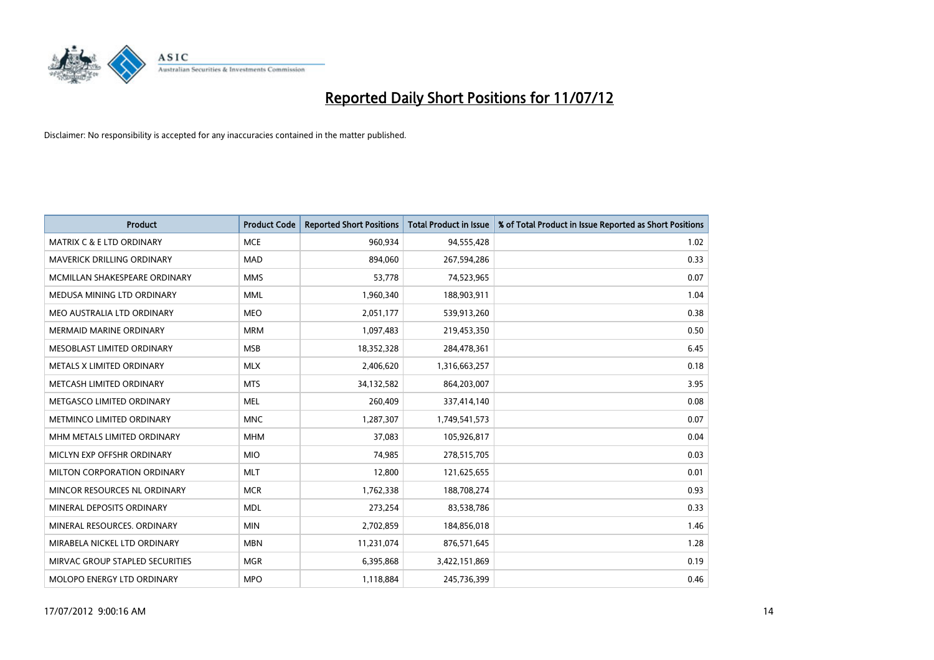

| <b>Product</b>                       | <b>Product Code</b> | <b>Reported Short Positions</b> | <b>Total Product in Issue</b> | % of Total Product in Issue Reported as Short Positions |
|--------------------------------------|---------------------|---------------------------------|-------------------------------|---------------------------------------------------------|
| <b>MATRIX C &amp; E LTD ORDINARY</b> | <b>MCE</b>          | 960,934                         | 94,555,428                    | 1.02                                                    |
| MAVERICK DRILLING ORDINARY           | <b>MAD</b>          | 894,060                         | 267,594,286                   | 0.33                                                    |
| MCMILLAN SHAKESPEARE ORDINARY        | <b>MMS</b>          | 53,778                          | 74,523,965                    | 0.07                                                    |
| MEDUSA MINING LTD ORDINARY           | <b>MML</b>          | 1,960,340                       | 188,903,911                   | 1.04                                                    |
| MEO AUSTRALIA LTD ORDINARY           | <b>MEO</b>          | 2,051,177                       | 539,913,260                   | 0.38                                                    |
| <b>MERMAID MARINE ORDINARY</b>       | <b>MRM</b>          | 1,097,483                       | 219,453,350                   | 0.50                                                    |
| MESOBLAST LIMITED ORDINARY           | <b>MSB</b>          | 18,352,328                      | 284,478,361                   | 6.45                                                    |
| METALS X LIMITED ORDINARY            | <b>MLX</b>          | 2,406,620                       | 1,316,663,257                 | 0.18                                                    |
| METCASH LIMITED ORDINARY             | <b>MTS</b>          | 34,132,582                      | 864,203,007                   | 3.95                                                    |
| METGASCO LIMITED ORDINARY            | <b>MEL</b>          | 260,409                         | 337,414,140                   | 0.08                                                    |
| METMINCO LIMITED ORDINARY            | <b>MNC</b>          | 1,287,307                       | 1,749,541,573                 | 0.07                                                    |
| MHM METALS LIMITED ORDINARY          | <b>MHM</b>          | 37,083                          | 105,926,817                   | 0.04                                                    |
| MICLYN EXP OFFSHR ORDINARY           | <b>MIO</b>          | 74,985                          | 278,515,705                   | 0.03                                                    |
| MILTON CORPORATION ORDINARY          | <b>MLT</b>          | 12,800                          | 121,625,655                   | 0.01                                                    |
| MINCOR RESOURCES NL ORDINARY         | <b>MCR</b>          | 1,762,338                       | 188,708,274                   | 0.93                                                    |
| MINERAL DEPOSITS ORDINARY            | <b>MDL</b>          | 273,254                         | 83,538,786                    | 0.33                                                    |
| MINERAL RESOURCES. ORDINARY          | <b>MIN</b>          | 2,702,859                       | 184,856,018                   | 1.46                                                    |
| MIRABELA NICKEL LTD ORDINARY         | <b>MBN</b>          | 11,231,074                      | 876,571,645                   | 1.28                                                    |
| MIRVAC GROUP STAPLED SECURITIES      | <b>MGR</b>          | 6,395,868                       | 3,422,151,869                 | 0.19                                                    |
| MOLOPO ENERGY LTD ORDINARY           | <b>MPO</b>          | 1,118,884                       | 245,736,399                   | 0.46                                                    |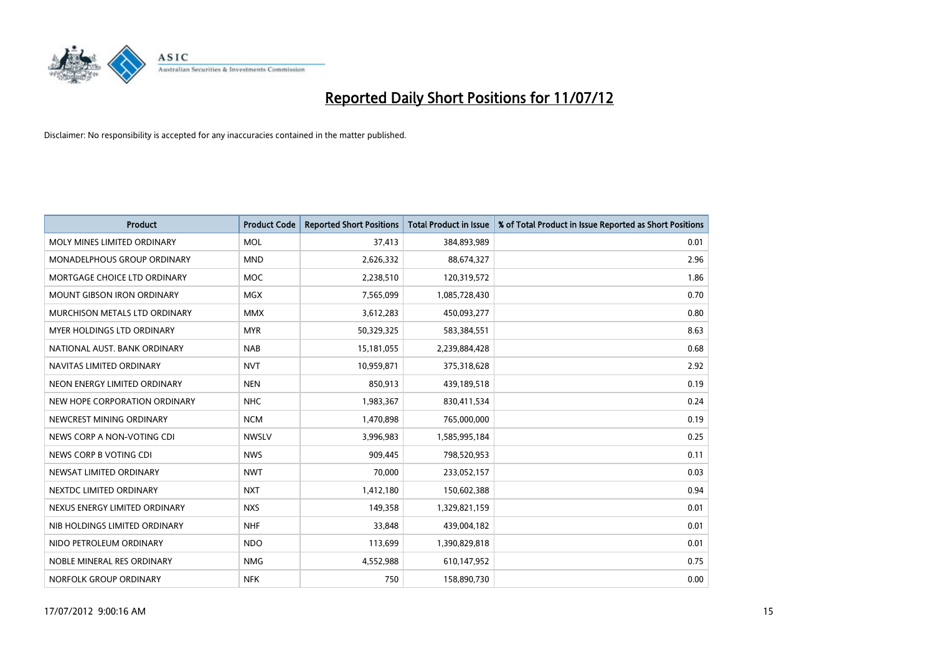

| <b>Product</b>                       | <b>Product Code</b> | <b>Reported Short Positions</b> | <b>Total Product in Issue</b> | % of Total Product in Issue Reported as Short Positions |
|--------------------------------------|---------------------|---------------------------------|-------------------------------|---------------------------------------------------------|
| MOLY MINES LIMITED ORDINARY          | <b>MOL</b>          | 37,413                          | 384,893,989                   | 0.01                                                    |
| MONADELPHOUS GROUP ORDINARY          | <b>MND</b>          | 2,626,332                       | 88,674,327                    | 2.96                                                    |
| MORTGAGE CHOICE LTD ORDINARY         | <b>MOC</b>          | 2,238,510                       | 120,319,572                   | 1.86                                                    |
| MOUNT GIBSON IRON ORDINARY           | <b>MGX</b>          | 7,565,099                       | 1,085,728,430                 | 0.70                                                    |
| <b>MURCHISON METALS LTD ORDINARY</b> | <b>MMX</b>          | 3,612,283                       | 450,093,277                   | 0.80                                                    |
| <b>MYER HOLDINGS LTD ORDINARY</b>    | <b>MYR</b>          | 50,329,325                      | 583,384,551                   | 8.63                                                    |
| NATIONAL AUST. BANK ORDINARY         | <b>NAB</b>          | 15,181,055                      | 2,239,884,428                 | 0.68                                                    |
| NAVITAS LIMITED ORDINARY             | <b>NVT</b>          | 10,959,871                      | 375,318,628                   | 2.92                                                    |
| NEON ENERGY LIMITED ORDINARY         | <b>NEN</b>          | 850,913                         | 439,189,518                   | 0.19                                                    |
| NEW HOPE CORPORATION ORDINARY        | <b>NHC</b>          | 1,983,367                       | 830,411,534                   | 0.24                                                    |
| NEWCREST MINING ORDINARY             | <b>NCM</b>          | 1,470,898                       | 765,000,000                   | 0.19                                                    |
| NEWS CORP A NON-VOTING CDI           | <b>NWSLV</b>        | 3,996,983                       | 1,585,995,184                 | 0.25                                                    |
| NEWS CORP B VOTING CDI               | <b>NWS</b>          | 909,445                         | 798,520,953                   | 0.11                                                    |
| NEWSAT LIMITED ORDINARY              | <b>NWT</b>          | 70,000                          | 233,052,157                   | 0.03                                                    |
| NEXTDC LIMITED ORDINARY              | <b>NXT</b>          | 1,412,180                       | 150,602,388                   | 0.94                                                    |
| NEXUS ENERGY LIMITED ORDINARY        | <b>NXS</b>          | 149,358                         | 1,329,821,159                 | 0.01                                                    |
| NIB HOLDINGS LIMITED ORDINARY        | <b>NHF</b>          | 33,848                          | 439,004,182                   | 0.01                                                    |
| NIDO PETROLEUM ORDINARY              | <b>NDO</b>          | 113,699                         | 1,390,829,818                 | 0.01                                                    |
| NOBLE MINERAL RES ORDINARY           | <b>NMG</b>          | 4,552,988                       | 610,147,952                   | 0.75                                                    |
| NORFOLK GROUP ORDINARY               | <b>NFK</b>          | 750                             | 158,890,730                   | 0.00                                                    |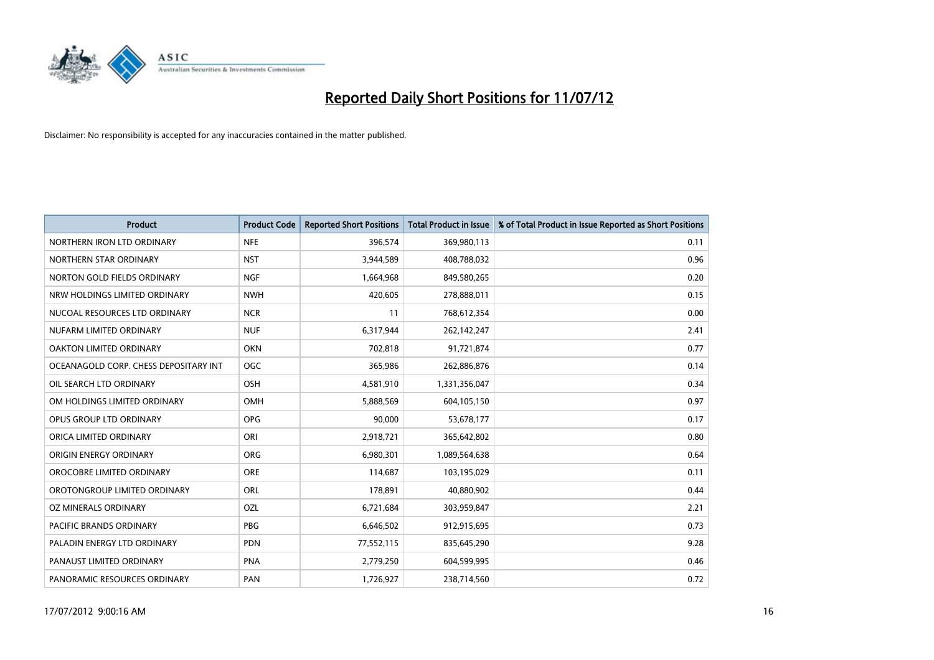

| <b>Product</b>                        | <b>Product Code</b> | <b>Reported Short Positions</b> | <b>Total Product in Issue</b> | % of Total Product in Issue Reported as Short Positions |
|---------------------------------------|---------------------|---------------------------------|-------------------------------|---------------------------------------------------------|
| NORTHERN IRON LTD ORDINARY            | <b>NFE</b>          | 396,574                         | 369,980,113                   | 0.11                                                    |
| NORTHERN STAR ORDINARY                | <b>NST</b>          | 3,944,589                       | 408,788,032                   | 0.96                                                    |
| NORTON GOLD FIELDS ORDINARY           | <b>NGF</b>          | 1,664,968                       | 849,580,265                   | 0.20                                                    |
| NRW HOLDINGS LIMITED ORDINARY         | <b>NWH</b>          | 420,605                         | 278,888,011                   | 0.15                                                    |
| NUCOAL RESOURCES LTD ORDINARY         | <b>NCR</b>          | 11                              | 768,612,354                   | 0.00                                                    |
| NUFARM LIMITED ORDINARY               | <b>NUF</b>          | 6,317,944                       | 262,142,247                   | 2.41                                                    |
| <b>OAKTON LIMITED ORDINARY</b>        | <b>OKN</b>          | 702,818                         | 91,721,874                    | 0.77                                                    |
| OCEANAGOLD CORP. CHESS DEPOSITARY INT | <b>OGC</b>          | 365,986                         | 262,886,876                   | 0.14                                                    |
| OIL SEARCH LTD ORDINARY               | <b>OSH</b>          | 4,581,910                       | 1,331,356,047                 | 0.34                                                    |
| OM HOLDINGS LIMITED ORDINARY          | <b>OMH</b>          | 5,888,569                       | 604,105,150                   | 0.97                                                    |
| OPUS GROUP LTD ORDINARY               | <b>OPG</b>          | 90,000                          | 53,678,177                    | 0.17                                                    |
| ORICA LIMITED ORDINARY                | ORI                 | 2,918,721                       | 365,642,802                   | 0.80                                                    |
| ORIGIN ENERGY ORDINARY                | <b>ORG</b>          | 6,980,301                       | 1,089,564,638                 | 0.64                                                    |
| OROCOBRE LIMITED ORDINARY             | <b>ORE</b>          | 114,687                         | 103,195,029                   | 0.11                                                    |
| OROTONGROUP LIMITED ORDINARY          | <b>ORL</b>          | 178,891                         | 40,880,902                    | 0.44                                                    |
| OZ MINERALS ORDINARY                  | OZL                 | 6,721,684                       | 303,959,847                   | 2.21                                                    |
| PACIFIC BRANDS ORDINARY               | <b>PBG</b>          | 6,646,502                       | 912,915,695                   | 0.73                                                    |
| PALADIN ENERGY LTD ORDINARY           | <b>PDN</b>          | 77,552,115                      | 835,645,290                   | 9.28                                                    |
| PANAUST LIMITED ORDINARY              | <b>PNA</b>          | 2,779,250                       | 604,599,995                   | 0.46                                                    |
| PANORAMIC RESOURCES ORDINARY          | PAN                 | 1,726,927                       | 238,714,560                   | 0.72                                                    |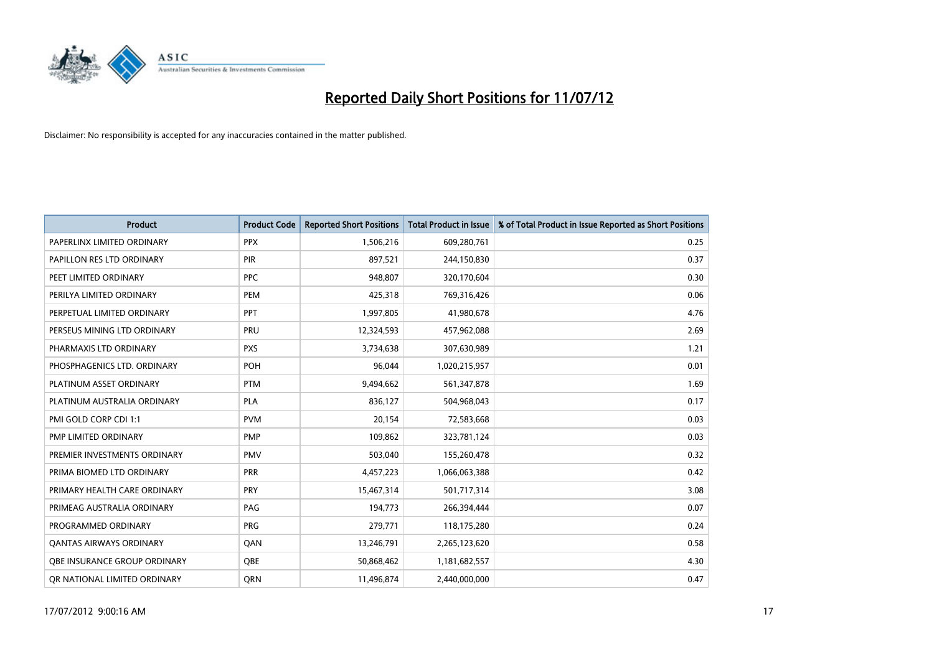

| <b>Product</b>                 | <b>Product Code</b> | <b>Reported Short Positions</b> | <b>Total Product in Issue</b> | % of Total Product in Issue Reported as Short Positions |
|--------------------------------|---------------------|---------------------------------|-------------------------------|---------------------------------------------------------|
| PAPERLINX LIMITED ORDINARY     | <b>PPX</b>          | 1,506,216                       | 609,280,761                   | 0.25                                                    |
| PAPILLON RES LTD ORDINARY      | <b>PIR</b>          | 897,521                         | 244,150,830                   | 0.37                                                    |
| PEET LIMITED ORDINARY          | <b>PPC</b>          | 948,807                         | 320,170,604                   | 0.30                                                    |
| PERILYA LIMITED ORDINARY       | PEM                 | 425,318                         | 769,316,426                   | 0.06                                                    |
| PERPETUAL LIMITED ORDINARY     | PPT                 | 1,997,805                       | 41,980,678                    | 4.76                                                    |
| PERSEUS MINING LTD ORDINARY    | PRU                 | 12,324,593                      | 457,962,088                   | 2.69                                                    |
| PHARMAXIS LTD ORDINARY         | <b>PXS</b>          | 3,734,638                       | 307,630,989                   | 1.21                                                    |
| PHOSPHAGENICS LTD. ORDINARY    | POH                 | 96,044                          | 1,020,215,957                 | 0.01                                                    |
| PLATINUM ASSET ORDINARY        | <b>PTM</b>          | 9,494,662                       | 561,347,878                   | 1.69                                                    |
| PLATINUM AUSTRALIA ORDINARY    | <b>PLA</b>          | 836,127                         | 504,968,043                   | 0.17                                                    |
| PMI GOLD CORP CDI 1:1          | <b>PVM</b>          | 20,154                          | 72,583,668                    | 0.03                                                    |
| PMP LIMITED ORDINARY           | <b>PMP</b>          | 109,862                         | 323,781,124                   | 0.03                                                    |
| PREMIER INVESTMENTS ORDINARY   | <b>PMV</b>          | 503,040                         | 155,260,478                   | 0.32                                                    |
| PRIMA BIOMED LTD ORDINARY      | <b>PRR</b>          | 4,457,223                       | 1,066,063,388                 | 0.42                                                    |
| PRIMARY HEALTH CARE ORDINARY   | PRY                 | 15,467,314                      | 501,717,314                   | 3.08                                                    |
| PRIMEAG AUSTRALIA ORDINARY     | PAG                 | 194,773                         | 266,394,444                   | 0.07                                                    |
| PROGRAMMED ORDINARY            | <b>PRG</b>          | 279,771                         | 118,175,280                   | 0.24                                                    |
| <b>QANTAS AIRWAYS ORDINARY</b> | QAN                 | 13,246,791                      | 2,265,123,620                 | 0.58                                                    |
| OBE INSURANCE GROUP ORDINARY   | <b>OBE</b>          | 50,868,462                      | 1,181,682,557                 | 4.30                                                    |
| OR NATIONAL LIMITED ORDINARY   | <b>ORN</b>          | 11,496,874                      | 2.440.000.000                 | 0.47                                                    |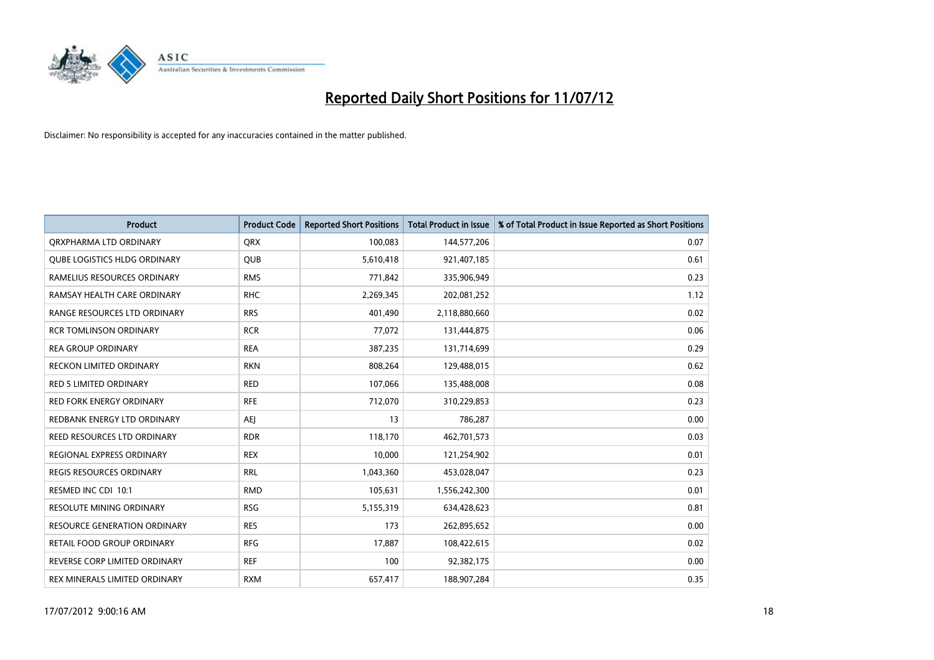

| <b>Product</b>                      | <b>Product Code</b> | <b>Reported Short Positions</b> | <b>Total Product in Issue</b> | % of Total Product in Issue Reported as Short Positions |
|-------------------------------------|---------------------|---------------------------------|-------------------------------|---------------------------------------------------------|
| ORXPHARMA LTD ORDINARY              | <b>QRX</b>          | 100,083                         | 144,577,206                   | 0.07                                                    |
| <b>QUBE LOGISTICS HLDG ORDINARY</b> | QUB                 | 5,610,418                       | 921,407,185                   | 0.61                                                    |
| RAMELIUS RESOURCES ORDINARY         | <b>RMS</b>          | 771,842                         | 335,906,949                   | 0.23                                                    |
| RAMSAY HEALTH CARE ORDINARY         | <b>RHC</b>          | 2,269,345                       | 202,081,252                   | 1.12                                                    |
| RANGE RESOURCES LTD ORDINARY        | <b>RRS</b>          | 401,490                         | 2,118,880,660                 | 0.02                                                    |
| <b>RCR TOMLINSON ORDINARY</b>       | <b>RCR</b>          | 77,072                          | 131,444,875                   | 0.06                                                    |
| <b>REA GROUP ORDINARY</b>           | <b>REA</b>          | 387,235                         | 131,714,699                   | 0.29                                                    |
| RECKON LIMITED ORDINARY             | <b>RKN</b>          | 808,264                         | 129,488,015                   | 0.62                                                    |
| <b>RED 5 LIMITED ORDINARY</b>       | <b>RED</b>          | 107,066                         | 135,488,008                   | 0.08                                                    |
| <b>RED FORK ENERGY ORDINARY</b>     | <b>RFE</b>          | 712,070                         | 310,229,853                   | 0.23                                                    |
| REDBANK ENERGY LTD ORDINARY         | AEI                 | 13                              | 786,287                       | 0.00                                                    |
| REED RESOURCES LTD ORDINARY         | <b>RDR</b>          | 118,170                         | 462,701,573                   | 0.03                                                    |
| REGIONAL EXPRESS ORDINARY           | <b>REX</b>          | 10,000                          | 121,254,902                   | 0.01                                                    |
| REGIS RESOURCES ORDINARY            | <b>RRL</b>          | 1,043,360                       | 453,028,047                   | 0.23                                                    |
| RESMED INC CDI 10:1                 | <b>RMD</b>          | 105,631                         | 1,556,242,300                 | 0.01                                                    |
| RESOLUTE MINING ORDINARY            | <b>RSG</b>          | 5,155,319                       | 634,428,623                   | 0.81                                                    |
| RESOURCE GENERATION ORDINARY        | <b>RES</b>          | 173                             | 262,895,652                   | 0.00                                                    |
| RETAIL FOOD GROUP ORDINARY          | <b>RFG</b>          | 17,887                          | 108,422,615                   | 0.02                                                    |
| REVERSE CORP LIMITED ORDINARY       | <b>REF</b>          | 100                             | 92,382,175                    | 0.00                                                    |
| REX MINERALS LIMITED ORDINARY       | <b>RXM</b>          | 657,417                         | 188,907,284                   | 0.35                                                    |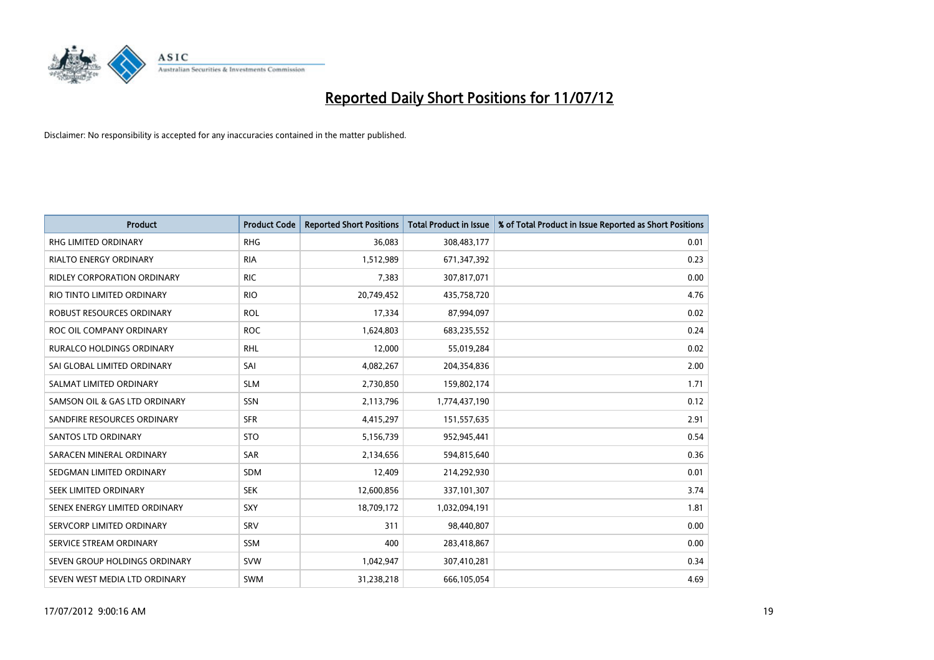

| <b>Product</b>                     | <b>Product Code</b> | <b>Reported Short Positions</b> | <b>Total Product in Issue</b> | % of Total Product in Issue Reported as Short Positions |
|------------------------------------|---------------------|---------------------------------|-------------------------------|---------------------------------------------------------|
| <b>RHG LIMITED ORDINARY</b>        | <b>RHG</b>          | 36,083                          | 308,483,177                   | 0.01                                                    |
| RIALTO ENERGY ORDINARY             | <b>RIA</b>          | 1,512,989                       | 671,347,392                   | 0.23                                                    |
| <b>RIDLEY CORPORATION ORDINARY</b> | <b>RIC</b>          | 7,383                           | 307,817,071                   | 0.00                                                    |
| RIO TINTO LIMITED ORDINARY         | <b>RIO</b>          | 20,749,452                      | 435,758,720                   | 4.76                                                    |
| ROBUST RESOURCES ORDINARY          | <b>ROL</b>          | 17,334                          | 87,994,097                    | 0.02                                                    |
| ROC OIL COMPANY ORDINARY           | <b>ROC</b>          | 1,624,803                       | 683,235,552                   | 0.24                                                    |
| <b>RURALCO HOLDINGS ORDINARY</b>   | <b>RHL</b>          | 12,000                          | 55,019,284                    | 0.02                                                    |
| SAI GLOBAL LIMITED ORDINARY        | SAI                 | 4,082,267                       | 204,354,836                   | 2.00                                                    |
| SALMAT LIMITED ORDINARY            | <b>SLM</b>          | 2,730,850                       | 159,802,174                   | 1.71                                                    |
| SAMSON OIL & GAS LTD ORDINARY      | <b>SSN</b>          | 2,113,796                       | 1,774,437,190                 | 0.12                                                    |
| SANDFIRE RESOURCES ORDINARY        | <b>SFR</b>          | 4,415,297                       | 151,557,635                   | 2.91                                                    |
| <b>SANTOS LTD ORDINARY</b>         | <b>STO</b>          | 5,156,739                       | 952,945,441                   | 0.54                                                    |
| SARACEN MINERAL ORDINARY           | SAR                 | 2,134,656                       | 594,815,640                   | 0.36                                                    |
| SEDGMAN LIMITED ORDINARY           | <b>SDM</b>          | 12,409                          | 214,292,930                   | 0.01                                                    |
| SEEK LIMITED ORDINARY              | <b>SEK</b>          | 12,600,856                      | 337,101,307                   | 3.74                                                    |
| SENEX ENERGY LIMITED ORDINARY      | <b>SXY</b>          | 18,709,172                      | 1,032,094,191                 | 1.81                                                    |
| SERVCORP LIMITED ORDINARY          | SRV                 | 311                             | 98,440,807                    | 0.00                                                    |
| SERVICE STREAM ORDINARY            | <b>SSM</b>          | 400                             | 283,418,867                   | 0.00                                                    |
| SEVEN GROUP HOLDINGS ORDINARY      | <b>SVW</b>          | 1,042,947                       | 307,410,281                   | 0.34                                                    |
| SEVEN WEST MEDIA LTD ORDINARY      | <b>SWM</b>          | 31,238,218                      | 666,105,054                   | 4.69                                                    |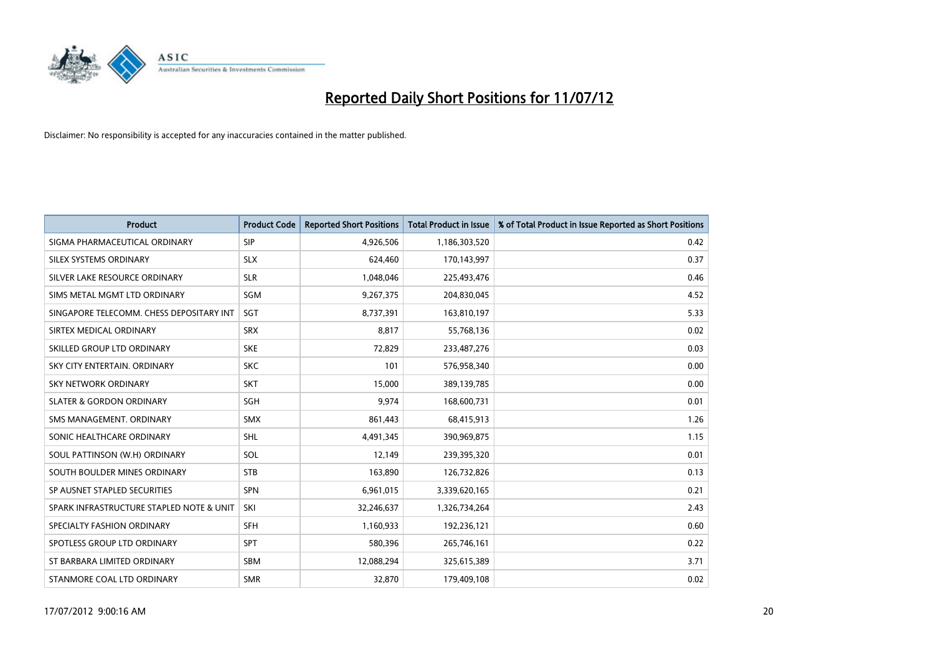

| <b>Product</b>                           | <b>Product Code</b> | <b>Reported Short Positions</b> | <b>Total Product in Issue</b> | % of Total Product in Issue Reported as Short Positions |
|------------------------------------------|---------------------|---------------------------------|-------------------------------|---------------------------------------------------------|
| SIGMA PHARMACEUTICAL ORDINARY            | <b>SIP</b>          | 4,926,506                       | 1,186,303,520                 | 0.42                                                    |
| SILEX SYSTEMS ORDINARY                   | <b>SLX</b>          | 624.460                         | 170,143,997                   | 0.37                                                    |
| SILVER LAKE RESOURCE ORDINARY            | <b>SLR</b>          | 1,048,046                       | 225,493,476                   | 0.46                                                    |
| SIMS METAL MGMT LTD ORDINARY             | <b>SGM</b>          | 9,267,375                       | 204,830,045                   | 4.52                                                    |
| SINGAPORE TELECOMM. CHESS DEPOSITARY INT | SGT                 | 8,737,391                       | 163,810,197                   | 5.33                                                    |
| SIRTEX MEDICAL ORDINARY                  | <b>SRX</b>          | 8,817                           | 55,768,136                    | 0.02                                                    |
| SKILLED GROUP LTD ORDINARY               | <b>SKE</b>          | 72,829                          | 233,487,276                   | 0.03                                                    |
| SKY CITY ENTERTAIN, ORDINARY             | <b>SKC</b>          | 101                             | 576,958,340                   | 0.00                                                    |
| SKY NETWORK ORDINARY                     | <b>SKT</b>          | 15,000                          | 389,139,785                   | 0.00                                                    |
| <b>SLATER &amp; GORDON ORDINARY</b>      | <b>SGH</b>          | 9.974                           | 168,600,731                   | 0.01                                                    |
| SMS MANAGEMENT, ORDINARY                 | <b>SMX</b>          | 861,443                         | 68,415,913                    | 1.26                                                    |
| SONIC HEALTHCARE ORDINARY                | <b>SHL</b>          | 4,491,345                       | 390,969,875                   | 1.15                                                    |
| SOUL PATTINSON (W.H) ORDINARY            | SOL                 | 12,149                          | 239,395,320                   | 0.01                                                    |
| SOUTH BOULDER MINES ORDINARY             | <b>STB</b>          | 163.890                         | 126,732,826                   | 0.13                                                    |
| SP AUSNET STAPLED SECURITIES             | <b>SPN</b>          | 6,961,015                       | 3,339,620,165                 | 0.21                                                    |
| SPARK INFRASTRUCTURE STAPLED NOTE & UNIT | SKI                 | 32,246,637                      | 1,326,734,264                 | 2.43                                                    |
| SPECIALTY FASHION ORDINARY               | <b>SFH</b>          | 1,160,933                       | 192,236,121                   | 0.60                                                    |
| SPOTLESS GROUP LTD ORDINARY              | <b>SPT</b>          | 580,396                         | 265,746,161                   | 0.22                                                    |
| ST BARBARA LIMITED ORDINARY              | <b>SBM</b>          | 12,088,294                      | 325,615,389                   | 3.71                                                    |
| STANMORE COAL LTD ORDINARY               | <b>SMR</b>          | 32.870                          | 179,409,108                   | 0.02                                                    |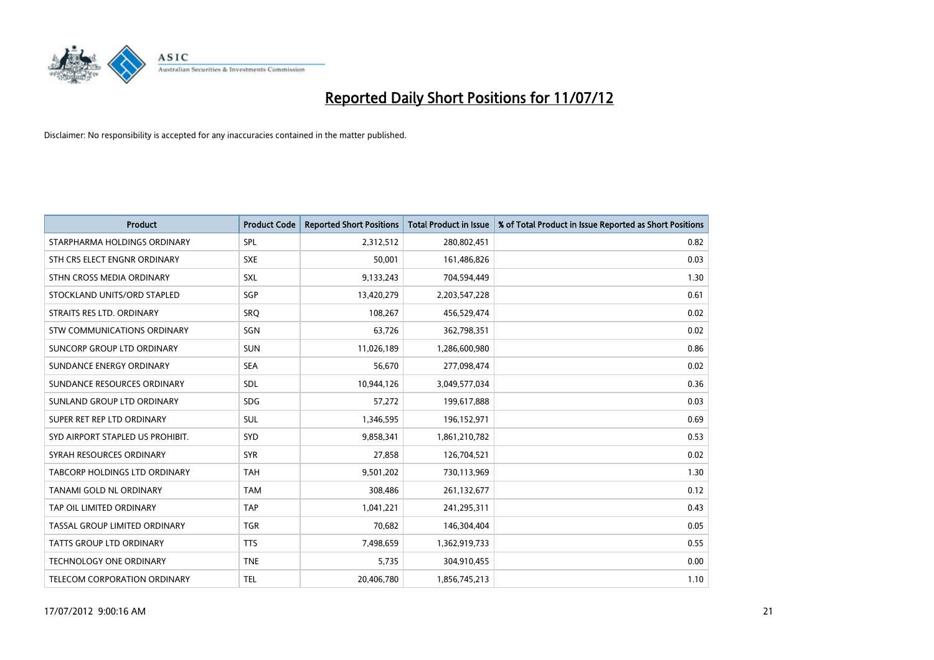

| <b>Product</b>                       | <b>Product Code</b> | <b>Reported Short Positions</b> | <b>Total Product in Issue</b> | % of Total Product in Issue Reported as Short Positions |
|--------------------------------------|---------------------|---------------------------------|-------------------------------|---------------------------------------------------------|
| STARPHARMA HOLDINGS ORDINARY         | SPL                 | 2,312,512                       | 280,802,451                   | 0.82                                                    |
| STH CRS ELECT ENGNR ORDINARY         | <b>SXE</b>          | 50.001                          | 161,486,826                   | 0.03                                                    |
| STHN CROSS MEDIA ORDINARY            | <b>SXL</b>          | 9,133,243                       | 704,594,449                   | 1.30                                                    |
| STOCKLAND UNITS/ORD STAPLED          | <b>SGP</b>          | 13,420,279                      | 2,203,547,228                 | 0.61                                                    |
| STRAITS RES LTD. ORDINARY            | SRO                 | 108.267                         | 456,529,474                   | 0.02                                                    |
| STW COMMUNICATIONS ORDINARY          | SGN                 | 63,726                          | 362,798,351                   | 0.02                                                    |
| SUNCORP GROUP LTD ORDINARY           | <b>SUN</b>          | 11,026,189                      | 1,286,600,980                 | 0.86                                                    |
| SUNDANCE ENERGY ORDINARY             | <b>SEA</b>          | 56,670                          | 277,098,474                   | 0.02                                                    |
| SUNDANCE RESOURCES ORDINARY          | <b>SDL</b>          | 10,944,126                      | 3,049,577,034                 | 0.36                                                    |
| SUNLAND GROUP LTD ORDINARY           | <b>SDG</b>          | 57,272                          | 199,617,888                   | 0.03                                                    |
| SUPER RET REP LTD ORDINARY           | <b>SUL</b>          | 1,346,595                       | 196,152,971                   | 0.69                                                    |
| SYD AIRPORT STAPLED US PROHIBIT.     | <b>SYD</b>          | 9,858,341                       | 1,861,210,782                 | 0.53                                                    |
| SYRAH RESOURCES ORDINARY             | <b>SYR</b>          | 27,858                          | 126,704,521                   | 0.02                                                    |
| <b>TABCORP HOLDINGS LTD ORDINARY</b> | <b>TAH</b>          | 9,501,202                       | 730,113,969                   | 1.30                                                    |
| TANAMI GOLD NL ORDINARY              | <b>TAM</b>          | 308,486                         | 261,132,677                   | 0.12                                                    |
| TAP OIL LIMITED ORDINARY             | <b>TAP</b>          | 1,041,221                       | 241,295,311                   | 0.43                                                    |
| TASSAL GROUP LIMITED ORDINARY        | <b>TGR</b>          | 70,682                          | 146,304,404                   | 0.05                                                    |
| TATTS GROUP LTD ORDINARY             | <b>TTS</b>          | 7,498,659                       | 1,362,919,733                 | 0.55                                                    |
| <b>TECHNOLOGY ONE ORDINARY</b>       | <b>TNE</b>          | 5,735                           | 304,910,455                   | 0.00                                                    |
| TELECOM CORPORATION ORDINARY         | <b>TEL</b>          | 20,406,780                      | 1,856,745,213                 | 1.10                                                    |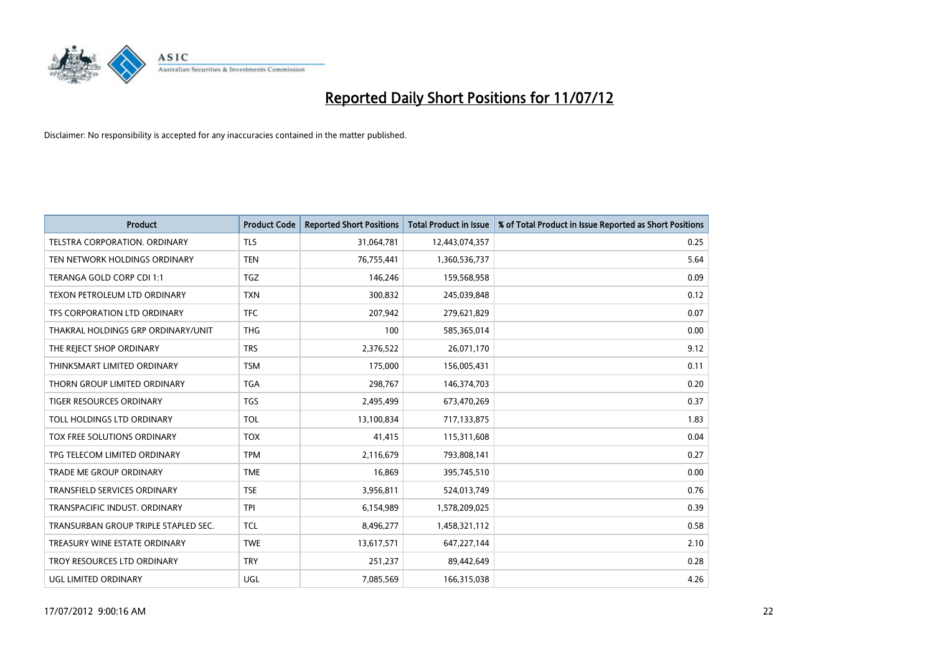

| <b>Product</b>                       | <b>Product Code</b> | <b>Reported Short Positions</b> | <b>Total Product in Issue</b> | % of Total Product in Issue Reported as Short Positions |
|--------------------------------------|---------------------|---------------------------------|-------------------------------|---------------------------------------------------------|
| TELSTRA CORPORATION, ORDINARY        | <b>TLS</b>          | 31,064,781                      | 12,443,074,357                | 0.25                                                    |
| TEN NETWORK HOLDINGS ORDINARY        | <b>TEN</b>          | 76,755,441                      | 1,360,536,737                 | 5.64                                                    |
| TERANGA GOLD CORP CDI 1:1            | <b>TGZ</b>          | 146,246                         | 159,568,958                   | 0.09                                                    |
| TEXON PETROLEUM LTD ORDINARY         | <b>TXN</b>          | 300,832                         | 245,039,848                   | 0.12                                                    |
| TFS CORPORATION LTD ORDINARY         | <b>TFC</b>          | 207,942                         | 279,621,829                   | 0.07                                                    |
| THAKRAL HOLDINGS GRP ORDINARY/UNIT   | <b>THG</b>          | 100                             | 585,365,014                   | 0.00                                                    |
| THE REJECT SHOP ORDINARY             | <b>TRS</b>          | 2,376,522                       | 26,071,170                    | 9.12                                                    |
| THINKSMART LIMITED ORDINARY          | <b>TSM</b>          | 175,000                         | 156,005,431                   | 0.11                                                    |
| THORN GROUP LIMITED ORDINARY         | <b>TGA</b>          | 298,767                         | 146,374,703                   | 0.20                                                    |
| <b>TIGER RESOURCES ORDINARY</b>      | <b>TGS</b>          | 2,495,499                       | 673,470,269                   | 0.37                                                    |
| TOLL HOLDINGS LTD ORDINARY           | <b>TOL</b>          | 13,100,834                      | 717,133,875                   | 1.83                                                    |
| TOX FREE SOLUTIONS ORDINARY          | <b>TOX</b>          | 41,415                          | 115,311,608                   | 0.04                                                    |
| TPG TELECOM LIMITED ORDINARY         | <b>TPM</b>          | 2,116,679                       | 793,808,141                   | 0.27                                                    |
| <b>TRADE ME GROUP ORDINARY</b>       | <b>TME</b>          | 16,869                          | 395,745,510                   | 0.00                                                    |
| TRANSFIELD SERVICES ORDINARY         | <b>TSE</b>          | 3,956,811                       | 524,013,749                   | 0.76                                                    |
| TRANSPACIFIC INDUST, ORDINARY        | <b>TPI</b>          | 6,154,989                       | 1,578,209,025                 | 0.39                                                    |
| TRANSURBAN GROUP TRIPLE STAPLED SEC. | <b>TCL</b>          | 8,496,277                       | 1,458,321,112                 | 0.58                                                    |
| TREASURY WINE ESTATE ORDINARY        | <b>TWE</b>          | 13,617,571                      | 647,227,144                   | 2.10                                                    |
| TROY RESOURCES LTD ORDINARY          | <b>TRY</b>          | 251,237                         | 89,442,649                    | 0.28                                                    |
| UGL LIMITED ORDINARY                 | UGL                 | 7,085,569                       | 166,315,038                   | 4.26                                                    |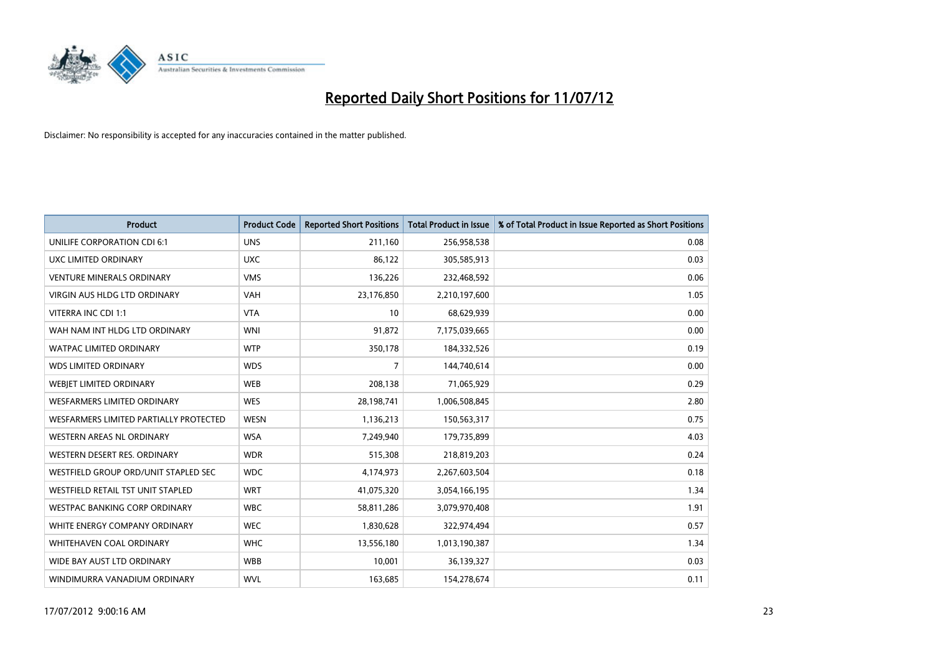

| <b>Product</b>                         | <b>Product Code</b> | <b>Reported Short Positions</b> | <b>Total Product in Issue</b> | % of Total Product in Issue Reported as Short Positions |
|----------------------------------------|---------------------|---------------------------------|-------------------------------|---------------------------------------------------------|
| UNILIFE CORPORATION CDI 6:1            | <b>UNS</b>          | 211,160                         | 256,958,538                   | 0.08                                                    |
| UXC LIMITED ORDINARY                   | <b>UXC</b>          | 86,122                          | 305,585,913                   | 0.03                                                    |
| <b>VENTURE MINERALS ORDINARY</b>       | <b>VMS</b>          | 136,226                         | 232,468,592                   | 0.06                                                    |
| VIRGIN AUS HLDG LTD ORDINARY           | <b>VAH</b>          | 23,176,850                      | 2,210,197,600                 | 1.05                                                    |
| VITERRA INC CDI 1:1                    | <b>VTA</b>          | 10                              | 68,629,939                    | 0.00                                                    |
| WAH NAM INT HLDG LTD ORDINARY          | <b>WNI</b>          | 91,872                          | 7,175,039,665                 | 0.00                                                    |
| <b>WATPAC LIMITED ORDINARY</b>         | <b>WTP</b>          | 350,178                         | 184,332,526                   | 0.19                                                    |
| <b>WDS LIMITED ORDINARY</b>            | <b>WDS</b>          | 7                               | 144,740,614                   | 0.00                                                    |
| WEBJET LIMITED ORDINARY                | <b>WEB</b>          | 208,138                         | 71,065,929                    | 0.29                                                    |
| <b>WESFARMERS LIMITED ORDINARY</b>     | <b>WES</b>          | 28,198,741                      | 1,006,508,845                 | 2.80                                                    |
| WESFARMERS LIMITED PARTIALLY PROTECTED | <b>WESN</b>         | 1,136,213                       | 150,563,317                   | 0.75                                                    |
| <b>WESTERN AREAS NL ORDINARY</b>       | <b>WSA</b>          | 7,249,940                       | 179,735,899                   | 4.03                                                    |
| WESTERN DESERT RES. ORDINARY           | <b>WDR</b>          | 515,308                         | 218,819,203                   | 0.24                                                    |
| WESTFIELD GROUP ORD/UNIT STAPLED SEC   | <b>WDC</b>          | 4,174,973                       | 2,267,603,504                 | 0.18                                                    |
| WESTFIELD RETAIL TST UNIT STAPLED      | <b>WRT</b>          | 41,075,320                      | 3,054,166,195                 | 1.34                                                    |
| WESTPAC BANKING CORP ORDINARY          | <b>WBC</b>          | 58,811,286                      | 3,079,970,408                 | 1.91                                                    |
| WHITE ENERGY COMPANY ORDINARY          | <b>WEC</b>          | 1,830,628                       | 322,974,494                   | 0.57                                                    |
| WHITEHAVEN COAL ORDINARY               | <b>WHC</b>          | 13,556,180                      | 1,013,190,387                 | 1.34                                                    |
| WIDE BAY AUST LTD ORDINARY             | <b>WBB</b>          | 10,001                          | 36,139,327                    | 0.03                                                    |
| WINDIMURRA VANADIUM ORDINARY           | <b>WVL</b>          | 163,685                         | 154,278,674                   | 0.11                                                    |